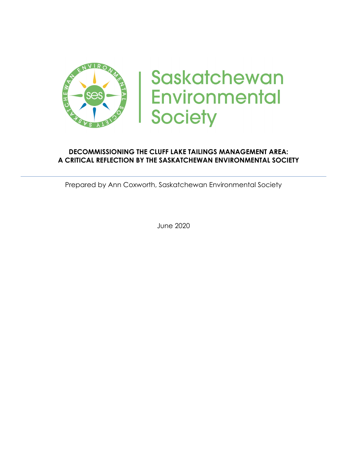

# **Saskatchewan Environmental Society**

#### **DECOMMISSIONING THE CLUFF LAKE TAILINGS MANAGEMENT AREA: A CRITICAL REFLECTION BY THE SASKATCHEWAN ENVIRONMENTAL SOCIETY**

Prepared by Ann Coxworth, Saskatchewan Environmental Society

June 2020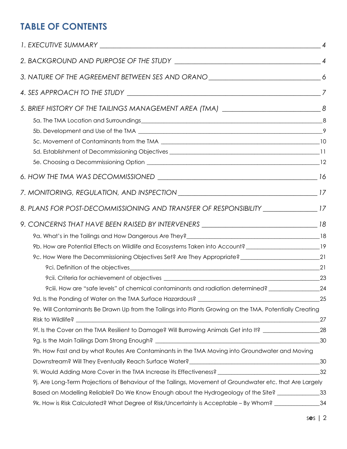# **TABLE OF CONTENTS**

| 3. NATURE OF THE AGREEMENT BETWEEN SES AND ORANO ________________________________6                                                                                                                                             |       |
|--------------------------------------------------------------------------------------------------------------------------------------------------------------------------------------------------------------------------------|-------|
|                                                                                                                                                                                                                                |       |
| 5. BRIEF HISTORY OF THE TAILINGS MANAGEMENT AREA (TMA) __________________________________8                                                                                                                                     |       |
|                                                                                                                                                                                                                                |       |
|                                                                                                                                                                                                                                |       |
|                                                                                                                                                                                                                                |       |
|                                                                                                                                                                                                                                |       |
|                                                                                                                                                                                                                                |       |
|                                                                                                                                                                                                                                |       |
|                                                                                                                                                                                                                                |       |
| 8. PLANS FOR POST-DECOMMISSIONING AND TRANSFER OF RESPONSIBILITY ________________17                                                                                                                                            |       |
| 9. CONCERNS THAT HAVE BEEN RAISED BY INTERVENERS ________________________________18                                                                                                                                            |       |
| 9a. What's in the Tailings and How Dangerous Are They?<br>18                                                                                                                                                                   |       |
| 9b. How are Potential Effects on Wildlife and Ecosystems Taken into Account? _______________________19                                                                                                                         |       |
|                                                                                                                                                                                                                                |       |
|                                                                                                                                                                                                                                |       |
| 9cii. Criteria for achievement of objectives expansion and the control of the control of the control of the control of the control of the control of the control of the control of the control of the control of the control o |       |
| 9ciii. How are "safe levels" of chemical contaminants and radiation determined? ____________________24                                                                                                                         |       |
| 9d. Is the Ponding of Water on the TMA Surface Hazardous? ______________________                                                                                                                                               | 25    |
| 9e. Will Contaminants Be Drawn Up from the Tailings into Plants Growing on the TMA, Potentially Creating                                                                                                                       |       |
|                                                                                                                                                                                                                                | 27    |
| 9f. Is the Cover on the TMA Resilient to Damage? Will Burrowing Animals Get into It? ______________                                                                                                                            | 28    |
|                                                                                                                                                                                                                                | 30    |
| 9h. How Fast and by what Routes Are Contaminants in the TMA Moving into Groundwater and Moving                                                                                                                                 |       |
| Downstream? Will They Eventually Reach Surface Water?____________________________                                                                                                                                              | $-30$ |
|                                                                                                                                                                                                                                | 32    |
| 9j. Are Long-Term Projections of Behaviour of the Tailings, Movement of Groundwater etc. that Are Largely                                                                                                                      |       |
| Based on Modelling Reliable? Do We Know Enough about the Hydrogeology of the Site? ______________33                                                                                                                            |       |
| 9k. How is Risk Calculated? What Degree of Risk/Uncertainty is Acceptable – By Whom?                                                                                                                                           | 34    |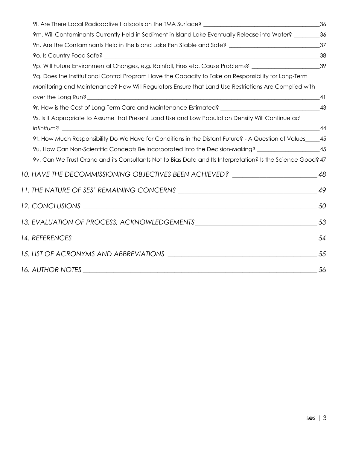| 9m. Will Contaminants Currently Held in Sediment in Island Lake Eventually Release into Water? _________36  |    |
|-------------------------------------------------------------------------------------------------------------|----|
|                                                                                                             |    |
|                                                                                                             |    |
| 9p. Will Future Environmental Changes, e.g. Rainfall, Fires etc. Cause Problems? _______________________39  |    |
| 9q. Does the Institutional Control Program Have the Capacity to Take on Responsibility for Long-Term        |    |
| Monitoring and Maintenance? How Will Regulators Ensure that Land Use Restrictions Are Complied with         |    |
|                                                                                                             |    |
| 9r. How is the Cost of Long-Term Care and Maintenance Estimated? ___________________________________43      |    |
| 9s. Is it Appropriate to Assume that Present Land Use and Low Population Density Will Continue ad           |    |
|                                                                                                             |    |
| 9t. How Much Responsibility Do We Have for Conditions in the Distant Future? - A Question of Values____45   |    |
| 9u. How Can Non-Scientific Concepts Be Incorporated into the Decision-Making? ____________________45        |    |
| 9v. Can We Trust Orano and its Consultants Not to Bias Data and Its Interpretation? Is the Science Good? 47 |    |
| 10. HAVE THE DECOMMISSIONING OBJECTIVES BEEN ACHIEVED? _________________________                            | 48 |
|                                                                                                             |    |
|                                                                                                             |    |
|                                                                                                             |    |
|                                                                                                             |    |
|                                                                                                             |    |
|                                                                                                             |    |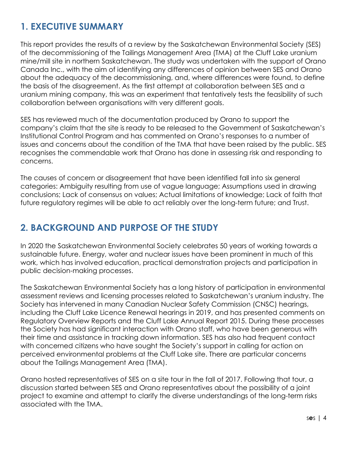# **1. EXECUTIVE SUMMARY**

This report provides the results of a review by the Saskatchewan Environmental Society (SES) of the decommissioning of the Tailings Management Area (TMA) at the Cluff Lake uranium mine/mill site in northern Saskatchewan. The study was undertaken with the support of Orano Canada Inc., with the aim of identifying any differences of opinion between SES and Orano about the adequacy of the decommissioning, and, where differences were found, to define the basis of the disagreement. As the first attempt at collaboration between SES and a uranium mining company, this was an experiment that tentatively tests the feasibility of such collaboration between organisations with very different goals.

SES has reviewed much of the documentation produced by Orano to support the company's claim that the site is ready to be released to the Government of Saskatchewan's Institutional Control Program and has commented on Orano's responses to a number of issues and concerns about the condition of the TMA that have been raised by the public. SES recognises the commendable work that Orano has done in assessing risk and responding to concerns.

The causes of concern or disagreement that have been identified fall into six general categories: Ambiguity resulting from use of vague language; Assumptions used in drawing conclusions; Lack of consensus on values; Actual limitations of knowledge; Lack of faith that future regulatory regimes will be able to act reliably over the long-term future; and Trust.

# **2. BACKGROUND AND PURPOSE OF THE STUDY**

In 2020 the Saskatchewan Environmental Society celebrates 50 years of working towards a sustainable future. Energy, water and nuclear issues have been prominent in much of this work, which has involved education, practical demonstration projects and participation in public decision-making processes.

The Saskatchewan Environmental Society has a long history of participation in environmental assessment reviews and licensing processes related to Saskatchewan's uranium industry. The Society has intervened in many Canadian Nuclear Safety Commission (CNSC) hearings, including the Cluff Lake Licence Renewal hearings in 2019, and has presented comments on Regulatory Overview Reports and the Cluff Lake Annual Report 2015. During these processes the Society has had significant interaction with Orano staff, who have been generous with their time and assistance in tracking down information. SES has also had frequent contact with concerned citizens who have sought the Society's support in calling for action on perceived environmental problems at the Cluff Lake site. There are particular concerns about the Tailings Management Area (TMA).

Orano hosted representatives of SES on a site tour in the fall of 2017. Following that tour, a discussion started between SES and Orano representatives about the possibility of a joint project to examine and attempt to clarify the diverse understandings of the long-term risks associated with the TMA.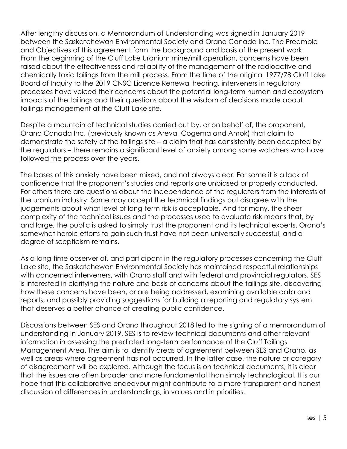After lengthy discussion, a Memorandum of Understanding was signed in January 2019 between the Saskatchewan Environmental Society and Orano Canada Inc. The Preamble and Objectives of this agreement form the background and basis of the present work. From the beginning of the Cluff Lake Uranium mine/mill operation, concerns have been raised about the effectiveness and reliability of the management of the radioactive and chemically toxic tailings from the mill process. From the time of the original 1977/78 Cluff Lake Board of Inquiry to the 2019 CNSC Licence Renewal hearing, interveners in regulatory processes have voiced their concerns about the potential long-term human and ecosystem impacts of the tailings and their questions about the wisdom of decisions made about tailings management at the Cluff Lake site.

Despite a mountain of technical studies carried out by, or on behalf of, the proponent, Orano Canada Inc. (previously known as Areva, Cogema and Amok) that claim to demonstrate the safety of the tailings site – a claim that has consistently been accepted by the regulators – there remains a significant level of anxiety among some watchers who have followed the process over the years.

The bases of this anxiety have been mixed, and not always clear. For some it is a lack of confidence that the proponent's studies and reports are unbiased or properly conducted. For others there are questions about the independence of the regulators from the interests of the uranium industry. Some may accept the technical findings but disagree with the judgements about what level of long-term risk is acceptable. And for many, the sheer complexity of the technical issues and the processes used to evaluate risk means that, by and large, the public is asked to simply trust the proponent and its technical experts. Orano's somewhat heroic efforts to gain such trust have not been universally successful, and a degree of scepticism remains.

As a long-time observer of, and participant in the regulatory processes concerning the Cluff Lake site, the Saskatchewan Environmental Society has maintained respectful relationships with concerned interveners, with Orano staff and with federal and provincial regulators. SES is interested in clarifying the nature and basis of concerns about the tailings site, discovering how these concerns have been, or are being addressed, examining available data and reports, and possibly providing suggestions for building a reporting and regulatory system that deserves a better chance of creating public confidence.

Discussions between SES and Orano throughout 2018 led to the signing of a memorandum of understanding in January 2019. SES is to review technical documents and other relevant information in assessing the predicted long-term performance of the Cluff Tailings Management Area. The aim is to identify areas of agreement between SES and Orano, as well as areas where agreement has not occurred. In the latter case, the nature or category of disagreement will be explored. Although the focus is on technical documents, it is clear that the issues are often broader and more fundamental than simply technological. It is our hope that this collaborative endeavour might contribute to a more transparent and honest discussion of differences in understandings, in values and in priorities.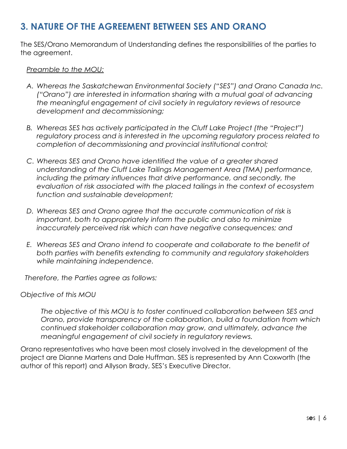## **3. NATURE OF THE AGREEMENT BETWEEN SES AND ORANO**

The SES/Orano Memorandum of Understanding defines the responsibilities of the parties to the agreement.

#### *Preamble to the MOU:*

- *A. Whereas the Saskatchewan Environmental Society ("SES") and Orano Canada Inc. ("Orano") are interested in information sharing with a mutual goal of advancing the meaningful engagement of civil society in regulatory reviews of resource development and decommissioning;*
- *B. Whereas SES has actively participated in the Cluff Lake Project (the "Project") regulatory process and is interested in the upcoming regulatory process related to completion of decommissioning and provincial institutional control;*
- *C. Whereas SES and Orano have identified the value of a greater shared understanding of the Cluff Lake Tailings Management Area (TMA) performance, including the primary influences that drive performance, and secondly, the evaluation of risk associated with the placed tailings in the context of ecosystem function and sustainable development;*
- *D. Whereas SES and Orano agree that the accurate communication of risk is important, both to appropriately inform the public and also to minimize inaccurately perceived risk which can have negative consequences; and*
- *E. Whereas SES and Orano intend to cooperate and collaborate to the benefit of both parties with benefits extending to community and regulatory stakeholders while maintaining independence.*

*Therefore, the Parties agree as follows:*

*Objective of this MOU*

*The objective of this MOU is to foster continued collaboration between SES and Orano, provide transparency of the collaboration, build a foundation from which continued stakeholder collaboration may grow, and ultimately, advance the meaningful engagement of civil society in regulatory reviews.*

Orano representatives who have been most closely involved in the development of the project are Dianne Martens and Dale Huffman. SES is represented by Ann Coxworth (the author of this report) and Allyson Brady, SES's Executive Director.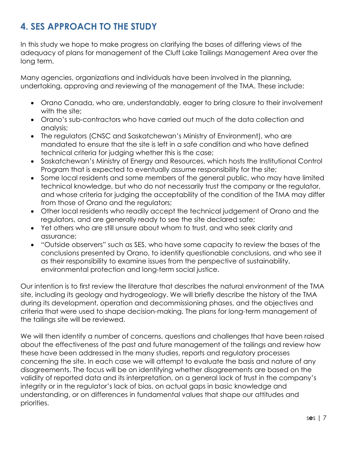# **4. SES APPROACH TO THE STUDY**

In this study we hope to make progress on clarifying the bases of differing views of the adequacy of plans for management of the Cluff Lake Tailings Management Area over the long term.

Many agencies, organizations and individuals have been involved in the planning, undertaking, approving and reviewing of the management of the TMA. These include:

- Orano Canada, who are, understandably, eager to bring closure to their involvement with the site:
- Orano's sub-contractors who have carried out much of the data collection and analysis;
- The regulators (CNSC and Saskatchewan's Ministry of Environment), who are mandated to ensure that the site is left in a safe condition and who have defined technical criteria for judging whether this is the case;
- Saskatchewan's Ministry of Energy and Resources, which hosts the Institutional Control Program that is expected to eventually assume responsibility for the site;
- Some local residents and some members of the general public, who may have limited technical knowledge, but who do not necessarily trust the company or the regulator, and whose criteria for judging the acceptability of the condition of the TMA may differ from those of Orano and the regulators;
- Other local residents who readily accept the technical judgement of Orano and the regulators, and are generally ready to see the site declared safe;
- Yet others who are still unsure about whom to trust, and who seek clarity and assurance;
- "Outside observers" such as SES, who have some capacity to review the bases of the conclusions presented by Orano, to identify questionable conclusions, and who see it as their responsibility to examine issues from the perspective of sustainability, environmental protection and long-term social justice.

Our intention is to first review the literature that describes the natural environment of the TMA site, including its geology and hydrogeology. We will briefly describe the history of the TMA during its development, operation and decommissioning phases, and the objectives and criteria that were used to shape decision-making. The plans for long-term management of the tailings site will be reviewed.

We will then identify a number of concerns, questions and challenges that have been raised about the effectiveness of the past and future management of the tailings and review how these have been addressed in the many studies, reports and regulatory processes concerning the site. In each case we will attempt to evaluate the basis and nature of any disagreements. The focus will be on identifying whether disagreements are based on the validity of reported data and its interpretation, on a general lack of trust in the company's integrity or in the regulator's lack of bias, on actual gaps in basic knowledge and understanding, or on differences in fundamental values that shape our attitudes and priorities.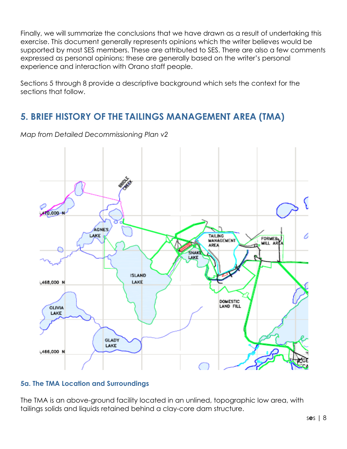Finally, we will summarize the conclusions that we have drawn as a result of undertaking this exercise. This document generally represents opinions which the writer believes would be supported by most SES members. These are attributed to SES. There are also a few comments expressed as personal opinions; these are generally based on the writer's personal experience and interaction with Orano staff people.

Sections 5 through 8 provide a descriptive background which sets the context for the sections that follow.

### **5. BRIEF HISTORY OF THE TAILINGS MANAGEMENT AREA (TMA)**

10,000-**AGNES TAILING** LAKE 0 **FORMER** MANÁGEMEN MILL AREA AREA SNAKE **ISLAND** ,468,000 N LAKE DOMESTIC LAND FILL OLIVIA LAKE GLADY LAKE 466,000 N

*Map from Detailed Decommissioning Plan v2*

#### **5a. The TMA Location and Surroundings**

The TMA is an above-ground facility located in an unlined, topographic low area, with tailings solids and liquids retained behind a clay-core dam structure.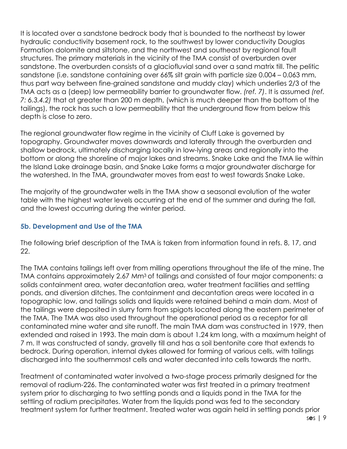It is located over a sandstone bedrock body that is bounded to the northeast by lower hydraulic conductivity basement rock, to the southwest by lower conductivity Douglas Formation dolomite and siltstone, and the northwest and southeast by regional fault structures. The primary materials in the vicinity of the TMA consist of overburden over sandstone. The overburden consists of a glaciofluvial sand over a sand matrix till. The pelitic sandstone (i.e. sandstone containing over 66% silt grain with particle size 0.004 – 0.063 mm, thus part way between fine-grained sandstone and muddy clay) which underlies 2/3 of the TMA acts as a (deep) low permeability barrier to groundwater flow. *(ref. 7)*. It is assumed *(ref. 7: 6.3.4.2)* that at greater than 200 m depth, (which is much deeper than the bottom of the tailings), the rock has such a low permeability that the underground flow from below this depth is close to zero.

The regional groundwater flow regime in the vicinity of Cluff Lake is governed by topography. Groundwater moves downwards and laterally through the overburden and shallow bedrock, ultimately discharging locally in low-lying areas and regionally into the bottom or along the shoreline of major lakes and streams. Snake Lake and the TMA lie within the Island Lake drainage basin, and Snake Lake forms a major groundwater discharge for the watershed. In the TMA, groundwater moves from east to west towards Snake Lake.

The majority of the groundwater wells in the TMA show a seasonal evolution of the water table with the highest water levels occurring at the end of the summer and during the fall, and the lowest occurring during the winter period.

#### **5b. Development and Use of the TMA**

The following brief description of the TMA is taken from information found in refs. 8, 17, and 22.

The TMA contains tailings left over from milling operations throughout the life of the mine. The TMA contains approximately 2.67 Mm<sup>3</sup> of tailings and consisted of four major components: a solids containment area, water decantation area, water treatment facilities and settling ponds, and diversion ditches. The containment and decantation areas were located in a topographic low, and tailings solids and liquids were retained behind a main dam. Most of the tailings were deposited in slurry form from spigots located along the eastern perimeter of the TMA. The TMA was also used throughout the operational period as a receptor for all contaminated mine water and site runoff. The main TMA dam was constructed in 1979, then extended and raised in 1993. The main dam is about 1.24 km long, with a maximum height of 7 m. It was constructed of sandy, gravelly till and has a soil bentonite core that extends to bedrock. During operation, internal dykes allowed for forming of various cells, with tailings discharged into the southernmost cells and water decanted into cells towards the north.

Treatment of contaminated water involved a two-stage process primarily designed for the removal of radium-226. The contaminated water was first treated in a primary treatment system prior to discharging to two settling ponds and a liquids pond in the TMA for the settling of radium precipitates. Water from the liquids pond was fed to the secondary treatment system for further treatment. Treated water was again held in settling ponds prior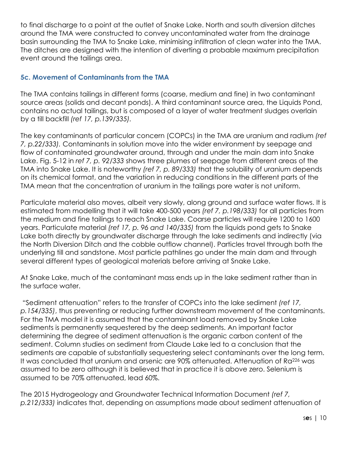to final discharge to a point at the outlet of Snake Lake. North and south diversion ditches around the TMA were constructed to convey uncontaminated water from the drainage basin surrounding the TMA to Snake Lake, minimising infiltration of clean water into the TMA. The ditches are designed with the intention of diverting a probable maximum precipitation event around the tailings area.

#### **5c. Movement of Contaminants from the TMA**

The TMA contains tailings in different forms (coarse, medium and fine) in two contaminant source areas (solids and decant ponds). A third contaminant source area, the Liquids Pond, contains no actual tailings, but is composed of a layer of water treatment sludges overlain by a till backfill *(ref 17, p.139/335).*

The key contaminants of particular concern (COPCs) in the TMA are uranium and radium *(ref 7, p.22/333).* Contaminants in solution move into the wider environment by seepage and flow of contaminated groundwater around, through and under the main dam into Snake Lake. Fig. 5-12 in *ref 7, p. 92/333* shows three plumes of seepage from different areas of the TMA into Snake Lake. It is noteworthy *(ref 7, p. 89/333)* that the solubility of uranium depends on its chemical format, and the variation in reducing conditions in the different parts of the TMA mean that the concentration of uranium in the tailings pore water is not uniform.

Particulate material also moves, albeit very slowly, along ground and surface water flows. It is estimated from modelling that it will take 400-500 years *(ref 7, p.198/333)* for all particles from the medium and fine tailings to reach Snake Lake. Coarse particles will require 1200 to 1600 years. Particulate material *(ref 17, p. 96 and 140/335)* from the liquids pond gets to Snake Lake both directly by groundwater discharge through the lake sediments and indirectly (via the North Diversion Ditch and the cobble outflow channel). Particles travel through both the underlying till and sandstone. Most particle pathlines go under the main dam and through several different types of geological materials before arriving at Snake Lake.

At Snake Lake, much of the contaminant mass ends up in the lake sediment rather than in the surface water.

"Sediment attenuation" refers to the transfer of COPCs into the lake sediment *(ref 17, p.154/335)*, thus preventing or reducing further downstream movement of the contaminants. For the TMA model it is assumed that the contaminant load removed by Snake Lake sediments is permanently sequestered by the deep sediments. An important factor determining the degree of sediment attenuation is the organic carbon content of the sediment. Column studies on sediment from Claude Lake led to a conclusion that the sediments are capable of substantially sequestering select contaminants over the long term. It was concluded that uranium and arsenic are 90% attenuated. Attenuation of Ra<sup>226</sup> was assumed to be zero although it is believed that in practice it is above zero. Selenium is assumed to be 70% attenuated, lead 60%.

The 2015 Hydrogeology and Groundwater Technical Information Document *(ref 7, p.212/333)* indicates that, depending on assumptions made about sediment attenuation of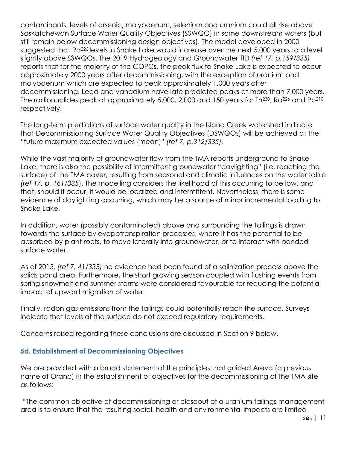contaminants, levels of arsenic, molybdenum, selenium and uranium could all rise above Saskatchewan Surface Water Quality Objectives (SSWQO) in some downstream waters (but still remain below decommissioning design objectives). The model developed in 2000 suggested that Ra226 levels in Snake Lake would increase over the next 5,000 years to a level slightly above SSWQOs. The 2019 Hydrogeology and Groundwater TID *(ref 17, p.159/335)* reports that for the majority of the COPCs, the peak flux to Snake Lake is expected to occur approximately 2000 years after decommissioning, with the exception of uranium and molybdenum which are expected to peak approximately 1,000 years after decommissioning. Lead and vanadium have late predicted peaks at more than 7,000 years. The radionuclides peak at approximately 5,000, 2,000 and 150 years for Th<sup>230</sup>, Ra<sup>226</sup> and Pb<sup>210</sup> respectively.

The long-term predictions of surface water quality in the Island Creek watershed indicate that Decommissioning Surface Water Quality Objectives (DSWQOs) will be achieved at the "future maximum expected values (mean)" *(ref 7, p.312/335).*

While the vast majority of groundwater flow from the TMA reports underground to Snake Lake, there is also the possibility of intermittent groundwater "daylighting" (i.e. reaching the surface) of the TMA cover, resulting from seasonal and climatic influences on the water table *(ref 17, p. 161/335*). The modelling considers the likelihood of this occurring to be low, and that, should it occur, it would be localized and intermittent. Nevertheless, there is some evidence of daylighting occurring, which may be a source of minor incremental loading to Snake Lake.

In addition, water (possibly contaminated) above and surrounding the tailings is drawn towards the surface by evapotranspiration processes, where it has the potential to be absorbed by plant roots, to move laterally into groundwater, or to interact with ponded surface water.

As of 2015, *(ref 7, 41/333)* no evidence had been found of a salinization process above the solids pond area. Furthermore, the short growing season coupled with flushing events from spring snowmelt and summer storms were considered favourable for reducing the potential impact of upward migration of water.

Finally, radon gas emissions from the tailings could potentially reach the surface. Surveys indicate that levels at the surface do not exceed regulatory requirements.

Concerns raised regarding these conclusions are discussed in Section 9 below.

#### **5d. Establishment of Decommissioning Objectives**

We are provided with a broad statement of the principles that guided Areva (a previous name of Orano) in the establishment of objectives for the decommissioning of the TMA site as follows:

"The common objective of decommissioning or closeout of a uranium tailings management area is to ensure that the resulting social, health and environmental impacts are limited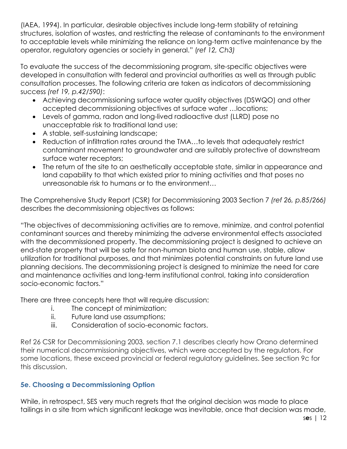(IAEA, 1994). In particular, desirable objectives include long-term stability of retaining structures, isolation of wastes, and restricting the release of contaminants to the environment to acceptable levels while minimizing the reliance on long-term active maintenance by the operator, regulatory agencies or society in general." (*ref 12, Ch3)*

To evaluate the success of the decommissioning program, site-specific objectives were developed in consultation with federal and provincial authorities as well as through public consultation processes. The following criteria are taken as indicators of decommissioning success *(ref 19, p.42/590)*:

- Achieving decommissioning surface water quality objectives (DSWQO) and other accepted decommissioning objectives at surface water …locations;
- Levels of gamma, radon and long-lived radioactive dust (LLRD) pose no unacceptable risk to traditional land use;
- A stable, self-sustaining landscape;
- Reduction of infiltration rates around the TMA…to levels that adequately restrict contaminant movement to groundwater and are suitably protective of downstream surface water receptors;
- The return of the site to an aesthetically acceptable state, similar in appearance and land capability to that which existed prior to mining activities and that poses no unreasonable risk to humans or to the environment…

The Comprehensive Study Report (CSR) for Decommissioning 2003 Section 7 *(ref 26, p.85/266)*  describes the decommissioning objectives as follows:

"The objectives of decommissioning activities are to remove, minimize, and control potential contaminant sources and thereby minimizing the adverse environmental effects associated with the decommissioned property. The decommissioning project is designed to achieve an end-state property that will be safe for non-human biota and human use, stable, allow utilization for traditional purposes, and that minimizes potential constraints on future land use planning decisions. The decommissioning project is designed to minimize the need for care and maintenance activities and long-term institutional control, taking into consideration socio-economic factors."

There are three concepts here that will require discussion:

- i. The concept of minimization;
- ii. Future land use assumptions;
- iii. Consideration of socio-economic factors.

Ref 26 CSR for Decommissioning 2003, section 7.1 describes clearly how Orano determined their numerical decommissioning objectives, which were accepted by the regulators. For some locations, these exceed provincial or federal regulatory guidelines. See section 9c for this discussion.

#### **5e. Choosing a Decommissioning Option**

While, in retrospect, SES very much regrets that the original decision was made to place tailings in a site from which significant leakage was inevitable, once that decision was made,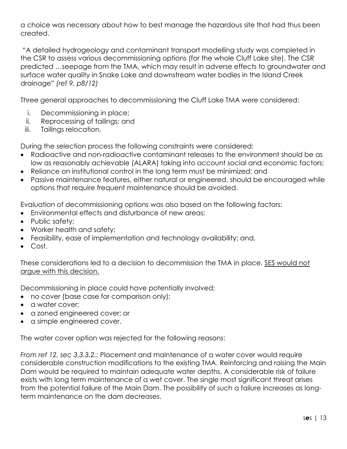a choice was necessary about how to best manage the hazardous site that had thus been created.

"A detailed hydrogeology and contaminant transport modelling study was completed in the CSR to assess various decommissioning options (for the whole Cluff Lake site). The CSR predicted …seepage from the TMA, which may result in adverse effects to groundwater and surface water quality in Snake Lake and downstream water bodies in the Island Creek drainage" *(ref 9, p8/12)*

Three general approaches to decommissioning the Cluff Lake TMA were considered:

- i. Decommissioning in place;
- ii. Reprocessing of tailings; and
- iii. Tailings relocation.

During the selection process the following constraints were considered:

- Radioactive and non-radioactive contaminant releases to the environment should be as low as reasonably achievable (ALARA) taking into account social and economic factors;
- Reliance on institutional control in the long term must be minimized; and
- Passive maintenance features, either natural or engineered, should be encouraged while options that require frequent maintenance should be avoided.

Evaluation of decommissioning options was also based on the following factors:

- Environmental effects and disturbance of new areas;
- Public safety:
- Worker health and safety;
- Feasibility, ease of implementation and technology availability; and,
- Cost.

These considerations led to a decision to decommission the TMA in place. SES would not argue with this decision.

Decommissioning in place could have potentially involved:

- no cover (base case for comparison only);
- a water cover;
- a zoned engineered cover; or
- a simple engineered cover.

The water cover option was rejected for the following reasons:

*From ref 12, sec 3.3.3.2.:* Placement and maintenance of a water cover would require considerable construction modifications to the existing TMA. Reinforcing and raising the Main Dam would be required to maintain adequate water depths. A considerable risk of failure exists with long term maintenance of a wet cover. The single most significant threat arises from the potential failure of the Main Dam. The possibility of such a failure increases as longterm maintenance on the dam decreases.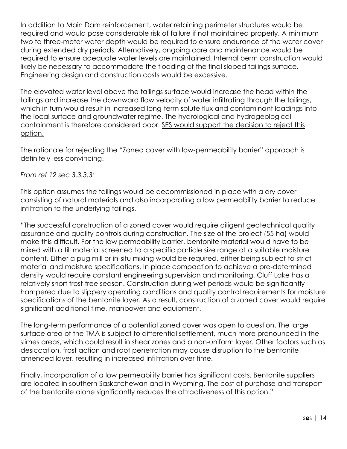In addition to Main Dam reinforcement, water retaining perimeter structures would be required and would pose considerable risk of failure if not maintained properly. A minimum two to three-meter water depth would be required to ensure endurance of the water cover during extended dry periods. Alternatively, ongoing care and maintenance would be required to ensure adequate water levels are maintained. Internal berm construction would likely be necessary to accommodate the flooding of the final sloped tailings surface. Engineering design and construction costs would be excessive.

The elevated water level above the tailings surface would increase the head within the tailings and increase the downward flow velocity of water infiltrating through the tailings, which in turn would result in increased long-term solute flux and contaminant loadings into the local surface and groundwater regime. The hydrological and hydrogeological containment is therefore considered poor. SES would support the decision to reject this option.

The rationale for rejecting the "Zoned cover with low-permeability barrier" approach is definitely less convincing.

*From ref 12 sec 3.3.3.3:*

This option assumes the tailings would be decommissioned in place with a dry cover consisting of natural materials and also incorporating a low permeability barrier to reduce infiltration to the underlying tailings.

"The successful construction of a zoned cover would require diligent geotechnical quality assurance and quality controls during construction. The size of the project (55 ha) would make this difficult. For the low permeability barrier, bentonite material would have to be mixed with a till material screened to a specific particle size range at a suitable moisture content. Either a pug mill or in-situ mixing would be required, either being subject to strict material and moisture specifications. In place compaction to achieve a pre-determined density would require constant engineering supervision and monitoring. Cluff Lake has a relatively short frost-free season. Construction during wet periods would be significantly hampered due to slippery operating conditions and quality control requirements for moisture specifications of the bentonite layer. As a result, construction of a zoned cover would require significant additional time, manpower and equipment.

The long-term performance of a potential zoned cover was open to question. The large surface area of the TMA is subject to differential settlement, much more pronounced in the slimes areas, which could result in shear zones and a non-uniform layer. Other factors such as desiccation, frost action and root penetration may cause disruption to the bentonite amended layer, resulting in increased infiltration over time.

Finally, incorporation of a low permeability barrier has significant costs. Bentonite suppliers are located in southern Saskatchewan and in Wyoming. The cost of purchase and transport of the bentonite alone significantly reduces the attractiveness of this option."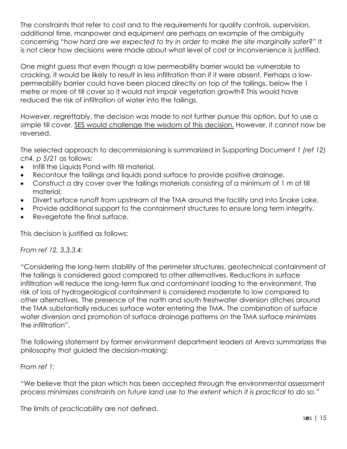The constraints that refer to cost and to the requirements for quality controls, supervision, additional time, manpower and equipment are perhaps an example of the ambiguity concerning "*how hard are we expected to try in order to make the site marginally safer*?" It is not clear how decisions were made about what level of cost or inconvenience is justified.

One might guess that even though a low permeability barrier would be vulnerable to cracking, it would be likely to result in less infiltration than if it were absent. Perhaps a lowpermeability barrier could have been placed directly on top of the tailings, below the 1 metre or more of till cover so it would not impair vegetation growth? This would have reduced the risk of infiltration of water into the tailings.

However, regrettably, the decision was made to not further pursue this option, but to use a simple till cover. SES would challenge the wisdom of this decision. However, it cannot now be reversed.

The selected approach to decommissioning is summarized in Supporting Document *1 (ref 12) ch4, p 5/21* as follows:

- Infill the Liquids Pond with till material,
- Recontour the tailings and liquids pond surface to provide positive drainage,
- Construct a dry cover over the tailings materials consisting of a minimum of 1 m of till material,
- Divert surface runoff from upstream of the TMA around the facility and into Snake Lake,
- Provide additional support to the containment structures to ensure long term integrity,
- Revegetate the final surface.

This decision is justified as follows:

#### *From ref 12, 3.3.3.4:*

"Considering the long-term stability of the perimeter structures, geotechnical containment of the tailings is considered good compared to other alternatives. Reductions in surface infiltration will reduce the long-term flux and contaminant loading to the environment. The risk of loss of hydrogeological containment is considered moderate to low compared to other alternatives. The presence of the north and south freshwater diversion ditches around the TMA substantially reduces surface water entering the TMA. The combination of surface water diversion and promotion of surface drainage patterns on the TMA surface minimizes the infiltration".

The following statement by former environment department leaders at Areva summarizes the philosophy that guided the decision-making:

#### *From ref 1:*

"We believe that the plan which has been accepted through the environmental assessment process *minimizes constraints on future land use to the extent which it is practical to do so."*

The limits of practicability are not defined.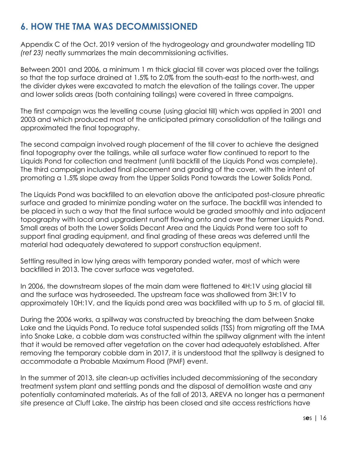# **6. HOW THE TMA WAS DECOMMISSIONED**

Appendix C of the Oct. 2019 version of the hydrogeology and groundwater modelling TID *(ref 23)* neatly summarizes the main decommissioning activities.

Between 2001 and 2006, a minimum 1 m thick glacial till cover was placed over the tailings so that the top surface drained at 1.5% to 2.0% from the south-east to the north-west, and the divider dykes were excavated to match the elevation of the tailings cover. The upper and lower solids areas (both containing tailings) were covered in three campaigns.

The first campaign was the levelling course (using glacial till) which was applied in 2001 and 2003 and which produced most of the anticipated primary consolidation of the tailings and approximated the final topography.

The second campaign involved rough placement of the till cover to achieve the designed final topography over the tailings, while all surface water flow continued to report to the Liquids Pond for collection and treatment (until backfill of the Liquids Pond was complete). The third campaign included final placement and grading of the cover, with the intent of promoting a 1.5% slope away from the Upper Solids Pond towards the Lower Solids Pond.

The Liquids Pond was backfilled to an elevation above the anticipated post-closure phreatic surface and graded to minimize ponding water on the surface. The backfill was intended to be placed in such a way that the final surface would be graded smoothly and into adjacent topography with local and upgradient runoff flowing onto and over the former Liquids Pond. Small areas of both the Lower Solids Decant Area and the Liquids Pond were too soft to support final grading equipment, and final grading of these areas was deferred until the material had adequately dewatered to support construction equipment.

Settling resulted in low lying areas with temporary ponded water, most of which were backfilled in 2013. The cover surface was vegetated.

In 2006, the downstream slopes of the main dam were flattened to 4H:1V using glacial till and the surface was hydroseeded. The upstream face was shallowed from 3H:1V to approximately 10H:1V, and the liquids pond area was backfilled with up to 5 m. of glacial till.

During the 2006 works, a spillway was constructed by breaching the dam between Snake Lake and the Liquids Pond. To reduce total suspended solids (TSS) from migrating off the TMA into Snake Lake, a cobble dam was constructed within the spillway alignment with the intent that it would be removed after vegetation on the cover had adequately established. After removing the temporary cobble dam in 2017, it is understood that the spillway is designed to accommodate a Probable Maximum Flood (PMF) event.

In the summer of 2013, site clean-up activities included decommissioning of the secondary treatment system plant and settling ponds and the disposal of demolition waste and any potentially contaminated materials. As of the fall of 2013, AREVA no longer has a permanent site presence at Cluff Lake. The airstrip has been closed and site access restrictions have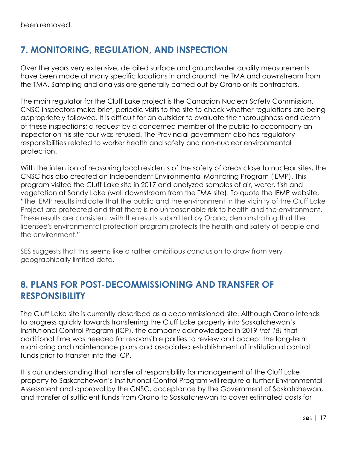# **7. MONITORING, REGULATION, AND INSPECTION**

Over the years very extensive, detailed surface and groundwater quality measurements have been made at many specific locations in and around the TMA and downstream from the TMA. Sampling and analysis are generally carried out by Orano or its contractors.

The main regulator for the Cluff Lake project is the Canadian Nuclear Safety Commission. CNSC inspectors make brief, periodic visits to the site to check whether regulations are being appropriately followed. It is difficult for an outsider to evaluate the thoroughness and depth of these inspections; a request by a concerned member of the public to accompany an inspector on his site tour was refused. The Provincial government also has regulatory responsibilities related to worker health and safety and non-nuclear environmental protection.

With the intention of reassuring local residents of the safety of areas close to nuclear sites, the CNSC has also created an Independent Environmental Monitoring Program (IEMP). This program visited the Cluff Lake site in 2017 and analyzed samples of air, water, fish and vegetation at Sandy Lake (well downstream from the TMA site). To quote the IEMP website, "The IEMP results indicate that the public and the environment in the vicinity of the Cluff Lake Project are protected and that there is no unreasonable risk to health and the environment. These results are consistent with the results submitted by Orano, demonstrating that the licensee's environmental protection program protects the health and safety of people and the environment."

SES suggests that this seems like a rather ambitious conclusion to draw from very geographically limited data.

### **8. PLANS FOR POST-DECOMMISSIONING AND TRANSFER OF RESPONSIBILITY**

The Cluff Lake site is currently described as a decommissioned site. Although Orano intends to progress quickly towards transferring the Cluff Lake property into Saskatchewan's Institutional Control Program (ICP), the company acknowledged in 2019 *(ref 18)* that additional time was needed for responsible parties to review and accept the long-term monitoring and maintenance plans and associated establishment of institutional control funds prior to transfer into the ICP.

It is our understanding that transfer of responsibility for management of the Cluff Lake property to Saskatchewan's Institutional Control Program will require a further Environmental Assessment and approval by the CNSC, acceptance by the Government of Saskatchewan, and transfer of sufficient funds from Orano to Saskatchewan to cover estimated costs for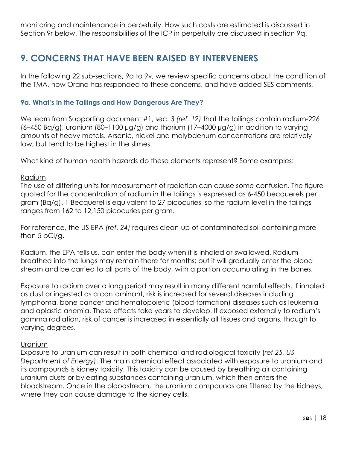monitoring and maintenance in perpetuity. How such costs are estimated is discussed in Section 9r below. The responsibilities of the ICP in perpetuity are discussed in section 9q.

### **9. CONCERNS THAT HAVE BEEN RAISED BY INTERVENERS**

In the following 22 sub-sections, 9a to 9v, we review specific concerns about the condition of the TMA, how Orano has responded to these concerns, and have added SES comments.

#### **9a. What's in the Tailings and How Dangerous Are They?**

We learn from Supporting document #1, sec. *3 (ref. 12)* that the tailings contain radium-226  $(6-450 Bq/g)$ , uranium  $(80-1100 \mu g/g)$  and thorium  $(17-4000 \mu g/g)$  in addition to varying amounts of heavy metals. Arsenic, nickel and molybdenum concentrations are relatively low, but tend to be highest in the slimes.

What kind of human health hazards do these elements represent? Some examples:

#### Radium

The use of differing units for measurement of radiation can cause some confusion. The figure quoted for the concentration of radium in the tailings is expressed as 6-450 becquerels per gram (Bq/g). 1 Becquerel is equivalent to 27 picocuries, so the radium level in the tailings ranges from 162 to 12,150 picocuries per gram.

For reference, the US EPA *(ref. 24)* requires clean-up of contaminated soil containing more than 5 pCi/g.

Radium, the EPA tells us, can enter the body when it is inhaled or swallowed. Radium breathed into the lungs may remain there for months; but it will gradually enter the blood stream and be carried to all parts of the body, with a portion accumulating in the bones.

Exposure to radium over a long period may result in many different harmful effects. If inhaled as dust or ingested as a contaminant, risk is increased for several diseases including lymphoma, bone cancer and hematopoietic (blood-formation) diseases such as leukemia and aplastic anemia. These effects take years to develop. If exposed externally to radium's gamma radiation, risk of cancer is increased in essentially all tissues and organs, though to varying degrees.

#### Uranium

Exposure to uranium can result in both chemical and radiological toxicity (*ref 25, US Department of Energy)*. The main chemical effect associated with exposure to uranium and its compounds is kidney toxicity. This toxicity can be caused by breathing air containing uranium dusts or by eating substances containing uranium, which then enters the bloodstream. Once in the bloodstream, the uranium compounds are filtered by the kidneys, where they can cause damage to the kidney cells.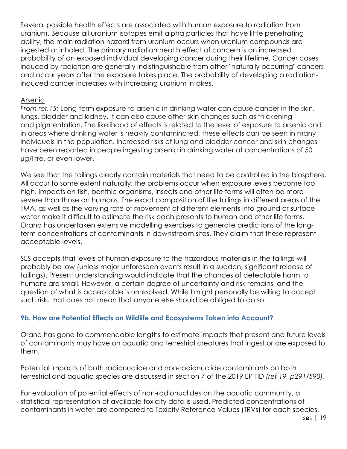Several possible health effects are associated with human exposure to radiation from uranium. Because all uranium isotopes emit alpha particles that have little penetrating ability, the main radiation hazard from uranium occurs when uranium compounds are ingested or inhaled. The primary radiation health effect of concern is an increased probability of an exposed individual developing cancer during their lifetime. Cancer cases induced by radiation are generally indistinguishable from other "naturally occurring" cancers and occur years after the exposure takes place. The probability of developing a radiationinduced cancer increases with increasing uranium intakes.

#### Arsenic

*From ref.15:* Long-term exposure to arsenic in drinking water can cause cancer in the skin, lungs, bladder and kidney. It can also cause other skin changes such as thickening and pigmentation. The likelihood of effects is related to the level of exposure to arsenic and in areas where drinking water is heavily contaminated, these effects can be seen in many individuals in the population. Increased risks of lung and bladder cancer and skin changes have been reported in people ingesting arsenic in drinking water at concentrations of 50 µg/litre, or even lower.

We see that the tailings clearly contain materials that need to be controlled in the biosphere. All occur to some extent naturally; the problems occur when exposure levels become too high. Impacts on fish, benthic organisms, insects and other life forms will often be more severe than those on humans. The exact composition of the tailings in different areas of the TMA, as well as the varying rate of movement of different elements into ground or surface water make it difficult to estimate the risk each presents to human and other life forms. Orano has undertaken extensive modelling exercises to generate predictions of the longterm concentrations of contaminants in downstream sites. They claim that these represent acceptable levels.

SES accepts that levels of human exposure to the hazardous materials in the tailings will probably be low (unless major unforeseen events result in a sudden, significant release of tailings). Present understanding would indicate that the chances of detectable harm to humans are small. However, a certain degree of uncertainty and risk remains, and the question of what is acceptable is unresolved. While I might personally be willing to accept such risk, that does not mean that anyone else should be obliged to do so.

#### **9b. How are Potential Effects on Wildlife and Ecosystems Taken into Account?**

Orano has gone to commendable lengths to estimate impacts that present and future levels of contaminants may have on aquatic and terrestrial creatures that ingest or are exposed to them.

Potential impacts of both radionuclide and non-radionuclide contaminants on both terrestrial and aquatic species are discussed in section 7 of the 2019 EP TID *(ref 19, p291/590)*.

For evaluation of potential effects of non-radionuclides on the aquatic community, a statistical representation of available toxicity data is used. Predicted concentrations of contaminants in water are compared to Toxicity Reference Values (TRVs) for each species.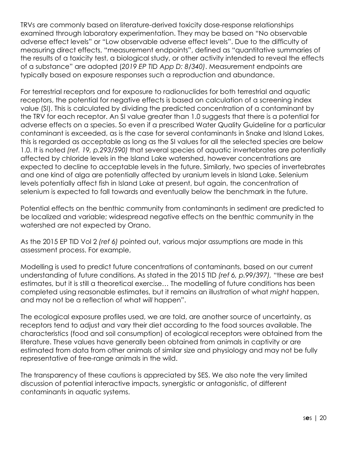TRVs are commonly based on literature-derived toxicity dose-response relationships examined through laboratory experimentation. They may be based on "No observable adverse effect levels" or "Low observable adverse effect levels". Due to the difficulty of measuring direct effects, "measurement endpoints", defined as "quantitative summaries of the results of a toxicity test, a biological study, or other activity intended to reveal the effects of a substance" are adopted (*2019 EP TID App D: 8/340)*. Measurement endpoints are typically based on exposure responses such a reproduction and abundance.

For terrestrial receptors and for exposure to radionuclides for both terrestrial and aquatic receptors, the potential for negative effects is based on calculation of a screening index value (SI). This is calculated by dividing the predicted concentration of a contaminant by the TRV for each receptor. An SI value greater than 1.0 suggests that there is a potential for adverse effects on a species. So even if a prescribed Water Quality Guideline for a particular contaminant is exceeded, as is the case for several contaminants in Snake and Island Lakes, this is regarded as acceptable as long as the SI values for all the selected species are below 1.0. It is noted *(ref. 19, p.293/590)* that several species of aquatic invertebrates are potentially affected by chloride levels in the Island Lake watershed, however concentrations are expected to decline to acceptable levels in the future. Similarly, two species of invertebrates and one kind of alga are potentially affected by uranium levels in Island Lake. Selenium levels potentially affect fish in Island Lake at present, but again, the concentration of selenium is expected to fall towards and eventually below the benchmark in the future.

Potential effects on the benthic community from contaminants in sediment are predicted to be localized and variable; widespread negative effects on the benthic community in the watershed are not expected by Orano.

As the 2015 EP TID Vol 2 *(ref 6)* pointed out, various major assumptions are made in this assessment process. For example,

Modelling is used to predict future concentrations of contaminants, based on our current understanding of future conditions. As stated in the 2015 TID *(ref 6, p.99/397),* "these are best estimates, but it is still a theoretical exercise… The modelling of future conditions has been completed using reasonable estimates, but it remains an illustration of what *might* happen, and may not be a reflection of what *will* happen".

The ecological exposure profiles used, we are told, are another source of uncertainty, as receptors tend to adjust and vary their diet according to the food sources available. The characteristics (food and soil consumption) of ecological receptors were obtained from the literature. These values have generally been obtained from animals in captivity or are estimated from data from other animals of similar size and physiology and may not be fully representative of free-range animals in the wild.

The transparency of these cautions is appreciated by SES. We also note the very limited discussion of potential interactive impacts, synergistic or antagonistic, of different contaminants in aquatic systems.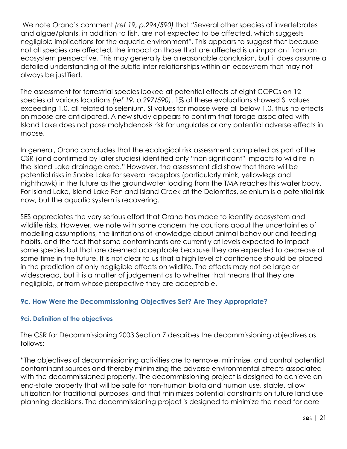We note Orano's comment *(ref 19, p.294/590)* that "Several other species of invertebrates and algae/plants, in addition to fish, are not expected to be affected, which suggests negligible implications for the aquatic environment". This appears to suggest that because not all species are affected, the impact on those that are affected is unimportant from an ecosystem perspective. This may generally be a reasonable conclusion, but it does assume a detailed understanding of the subtle inter-relationships within an ecosystem that may not always be justified.

The assessment for terrestrial species looked at potential effects of eight COPCs on 12 species at various locations *(ref 19, p.297/590)*. 1% of these evaluations showed SI values exceeding 1.0, all related to selenium. SI values for moose were all below 1.0, thus no effects on moose are anticipated. A new study appears to confirm that forage associated with Island Lake does not pose molybdenosis risk for ungulates or any potential adverse effects in moose.

In general, Orano concludes that the ecological risk assessment completed as part of the CSR (and confirmed by later studies) identified only "non-significant" impacts to wildlife in the Island Lake drainage area." However, the assessment did show that there will be potential risks in Snake Lake for several receptors (particularly mink, yellowlegs and nighthawk) in the future as the groundwater loading from the TMA reaches this water body. For Island Lake, Island Lake Fen and Island Creek at the Dolomites, selenium is a potential risk now, but the aquatic system is recovering.

SES appreciates the very serious effort that Orano has made to identify ecosystem and wildlife risks. However, we note with some concern the cautions about the uncertainties of modelling assumptions, the limitations of knowledge about animal behaviour and feeding habits, and the fact that some contaminants are currently at levels expected to impact some species but that are deemed acceptable because they are expected to decrease at some time in the future. It is not clear to us that a high level of confidence should be placed in the prediction of only negligible effects on wildlife. The effects may not be large or widespread, but it is a matter of judgement as to whether that means that they are negligible, or from whose perspective they are acceptable.

#### **9c. How Were the Decommissioning Objectives Set? Are They Appropriate?**

#### **9ci. Definition of the objectives**

The CSR for Decommissioning 2003 Section 7 describes the decommissioning objectives as follows:

"The objectives of decommissioning activities are to remove, minimize, and control potential contaminant sources and thereby minimizing the adverse environmental effects associated with the decommissioned property. The decommissioning project is designed to achieve an end-state property that will be safe for non-human biota and human use, stable, allow utilization for traditional purposes, and that minimizes potential constraints on future land use planning decisions. The decommissioning project is designed to minimize the need for care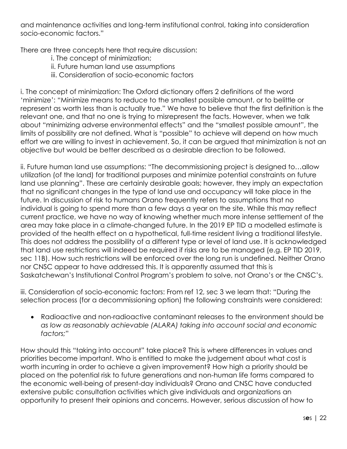and maintenance activities and long-term institutional control, taking into consideration socio-economic factors."

There are three concepts here that require discussion:

- i. The concept of minimization;
- ii. Future human land use assumptions
- iii. Consideration of socio-economic factors

i. The concept of minimization: The Oxford dictionary offers 2 definitions of the word 'minimize': "Minimize means to reduce to the smallest possible amount, or to belittle or represent as worth less than is actually true." We have to believe that the first definition is the relevant one, and that no one is trying to misrepresent the facts. However, when we talk about "minimizing adverse environmental effects" and the "smallest possible amount", the limits of possibility are not defined. What is "possible" to achieve will depend on how much effort we are willing to invest in achievement. So, it can be argued that minimization is not an objective but would be better described as a desirable direction to be followed.

ii. Future human land use assumptions: "The decommissioning project is designed to…allow utilization (of the land) for traditional purposes and minimize potential constraints on future land use planning". These are certainly desirable goals; however, they imply an expectation that no significant changes in the type of land use and occupancy will take place in the future. In discussion of risk to humans Orano frequently refers to assumptions that no individual is going to spend more than a few days a year on the site. While this may reflect current practice, we have no way of knowing whether much more intense settlement of the area may take place in a climate-changed future. In the 2019 EP TID a modelled estimate is provided of the health effect on a hypothetical, full-time resident living a traditional lifestyle. This does not address the possibility of a different type or level of land use. It is acknowledged that land use restrictions will indeed be required if risks are to be managed (e.g. EP TID 2019, sec 11B). How such restrictions will be enforced over the long run is undefined. Neither Orano nor CNSC appear to have addressed this. It is apparently assumed that this is Saskatchewan's Institutional Control Program's problem to solve, not Orano's or the CNSC's.

iii. Consideration of socio-economic factors: From ref 12, sec 3 we learn that: "During the selection process (for a decommissioning option) the following constraints were considered:

• Radioactive and non-radioactive contaminant releases to the environment should be *as low as reasonably achievable (ALARA) taking into account social and economic factors;*"

How should this "taking into account" take place? This is where differences in values and priorities become important. Who is entitled to make the judgement about what cost is worth incurring in order to achieve a given improvement? How high a priority should be placed on the potential risk to future generations and non-human life forms compared to the economic well-being of present-day individuals? Orano and CNSC have conducted extensive public consultation activities which give individuals and organizations an opportunity to present their opinions and concerns. However, serious discussion of how to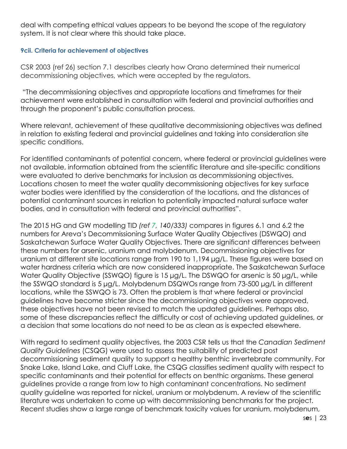deal with competing ethical values appears to be beyond the scope of the regulatory system. It is not clear where this should take place.

#### **9cii. Criteria for achievement of objectives**

CSR 2003 (ref 26) section 7.1 describes clearly how Orano determined their numerical decommissioning objectives, which were accepted by the regulators.

"The decommissioning objectives and appropriate locations and timeframes for their achievement were established in consultation with federal and provincial authorities and through the proponent's public consultation process.

Where relevant, achievement of these qualitative decommissioning objectives was defined in relation to existing federal and provincial guidelines and taking into consideration site specific conditions.

For identified contaminants of potential concern, where federal or provincial guidelines were not available, information obtained from the scientific literature and site-specific conditions were evaluated to derive benchmarks for inclusion as decommissioning objectives. Locations chosen to meet the water quality decommissioning objectives for key surface water bodies were identified by the consideration of the locations, and the distances of potential contaminant sources in relation to potentially impacted natural surface water bodies, and in consultation with federal and provincial authorities".

The 2015 HG and GW modelling TID *(ref 7, 140/333)* compares in figures 6.1 and 6.2 the numbers for Areva's Decommissioning Surface Water Quality Objectives (DSWQO) and Saskatchewan Surface Water Quality Objectives. There are significant differences between these numbers for arsenic, uranium and molybdenum. Decommissioning objectives for uranium at different site locations range from 190 to 1,194 µg/L. These figures were based on water hardness criteria which are now considered inappropriate. The Saskatchewan Surface Water Quality Objective (SSWQO) figure is 15 µg/L. The DSWQO for arsenic is 50 µg/L, while the SSWQO standard is 5 µg/L. Molybdenum DSQWOs range from 73-500 µg/L in different locations, while the SSWQO is 73. Often the problem is that where federal or provincial guidelines have become stricter since the decommissioning objectives were approved, these objectives have not been revised to match the updated guidelines. Perhaps also, some of these discrepancies reflect the difficulty or cost of achieving updated guidelines, or a decision that some locations do not need to be as clean as is expected elsewhere.

With regard to sediment quality objectives, the 2003 CSR tells us that the *Canadian Sediment Quality Guidelines* (CSQG) were used to assess the suitability of predicted post decommissioning sediment quality to support a healthy benthic invertebrate community. For Snake Lake, Island Lake, and Cluff Lake, the CSQG classifies sediment quality with respect to specific contaminants and their potential for effects on benthic organisms. These general guidelines provide a range from low to high contaminant concentrations. No sediment quality guideline was reported for nickel, uranium or molybdenum. A review of the scientific literature was undertaken to come up with decommissioning benchmarks for the project. Recent studies show a large range of benchmark toxicity values for uranium, molybdenum,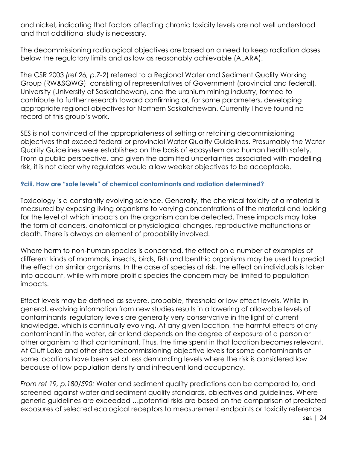and nickel, indicating that factors affecting chronic toxicity levels are not well understood and that additional study is necessary.

The decommissioning radiological objectives are based on a need to keep radiation doses below the regulatory limits and as low as reasonably achievable (ALARA).

The CSR 2003 *(ref 26, p.7-2*) referred to a Regional Water and Sediment Quality Working Group (RW&SQWG), consisting of representatives of Government (provincial and federal), University (University of Saskatchewan), and the uranium mining industry, formed to contribute to further research toward confirming or, for some parameters, developing appropriate regional objectives for Northern Saskatchewan. Currently I have found no record of this group's work.

SES is not convinced of the appropriateness of setting or retaining decommissioning objectives that exceed federal or provincial Water Quality Guidelines. Presumably the Water Quality Guidelines were established on the basis of ecosystem and human health safety. From a public perspective, and given the admitted uncertainties associated with modelling risk, it is not clear why regulators would allow weaker objectives to be acceptable.

#### **9ciii. How are "safe levels" of chemical contaminants and radiation determined?**

Toxicology is a constantly evolving science. Generally, the chemical toxicity of a material is measured by exposing living organisms to varying concentrations of the material and looking for the level at which impacts on the organism can be detected. These impacts may take the form of cancers, anatomical or physiological changes, reproductive malfunctions or death. There is always an element of probability involved.

Where harm to non-human species is concerned, the effect on a number of examples of different kinds of mammals, insects, birds, fish and benthic organisms may be used to predict the effect on similar organisms. In the case of species at risk, the effect on individuals is taken into account, while with more prolific species the concern may be limited to population impacts.

Effect levels may be defined as severe, probable, threshold or low effect levels. While in general, evolving information from new studies results in a lowering of allowable levels of contaminants, regulatory levels are generally very conservative in the light of current knowledge, which is continually evolving. At any given location, the harmful effects of any contaminant in the water, air or land depends on the degree of exposure of a person or other organism to that contaminant. Thus, the time spent in that location becomes relevant. At Cluff Lake and other sites decommissioning objective levels for some contaminants at some locations have been set at less demanding levels where the risk is considered low because of low population density and infrequent land occupancy.

*From ref 19, p.180/590:* Water and sediment quality predictions can be compared to, and screened against water and sediment quality standards, objectives and guidelines. Where generic guidelines are exceeded …potential risks are based on the comparison of predicted exposures of selected ecological receptors to measurement endpoints or toxicity reference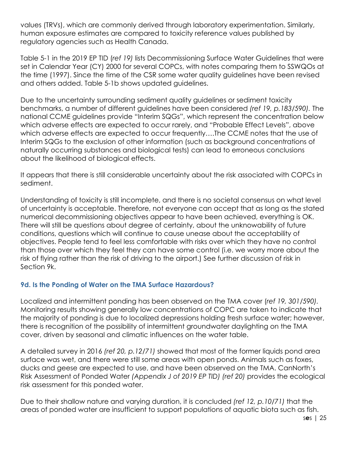values (TRVs), which are commonly derived through laboratory experimentation. Similarly, human exposure estimates are compared to toxicity reference values published by regulatory agencies such as Health Canada.

Table 5-1 in the 2019 EP TID (*ref 19)* lists Decommissioning Surface Water Guidelines that were set in Calendar Year (CY) 2000 for several COPCs, with notes comparing them to SSWQOs at the time (1997). Since the time of the CSR some water quality guidelines have been revised and others added. Table 5-1b shows updated guidelines.

Due to the uncertainty surrounding sediment quality guidelines or sediment toxicity benchmarks, a number of different guidelines have been considered *(ref 19, p.183/590).* The national CCME guidelines provide "Interim SQGs", which represent the concentration below which adverse effects are expected to occur rarely, and "Probable Effect Levels", above which adverse effects are expected to occur frequently….The CCME notes that the use of Interim SQGs to the exclusion of other information (such as background concentrations of naturally occurring substances and biological tests) can lead to erroneous conclusions about the likelihood of biological effects.

It appears that there is still considerable uncertainty about the risk associated with COPCs in sediment.

Understanding of toxicity is still incomplete, and there is no societal consensus on what level of uncertainty is acceptable. Therefore, not everyone can accept that as long as the stated numerical decommissioning objectives appear to have been achieved, everything is OK. There will still be questions about degree of certainty, about the unknowability of future conditions, questions which will continue to cause unease about the acceptability of objectives. People tend to feel less comfortable with risks over which they have no control than those over which they feel they can have some control (i.e. we worry more about the risk of flying rather than the risk of driving to the airport.) See further discussion of risk in Section 9k.

#### **9d. Is the Ponding of Water on the TMA Surface Hazardous?**

Localized and intermittent ponding has been observed on the TMA cover (*ref 19, 301/590).* Monitoring results showing generally low concentrations of COPC are taken to indicate that the majority of ponding is due to localized depressions holding fresh surface water; however, there is recognition of the possibility of intermittent groundwater daylighting on the TMA cover, driven by seasonal and climatic influences on the water table.

A detailed survey in 2016 *(ref 20, p.12/71)* showed that most of the former liquids pond area surface was wet, and there were still some areas with open ponds. Animals such as foxes, ducks and geese are expected to use, and have been observed on the TMA. CanNorth's Risk Assessment of Ponded Water *(Appendix J of 2019 EP TID) (ref 20)* provides the ecological risk assessment for this ponded water.

Due to their shallow nature and varying duration, it is concluded *(ref 12, p.10/71)* that the areas of ponded water are insufficient to support populations of aquatic biota such as fish.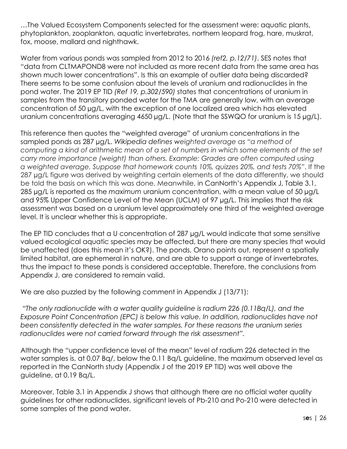…The Valued Ecosystem Components selected for the assessment were: aquatic plants, phytoplankton, zooplankton, aquatic invertebrates, northern leopard frog, hare, muskrat, fox, moose, mallard and nighthawk.

Water from various ponds was sampled from 2012 to 2016 *(ref2, p.12/71)*. SES notes that "data from CLTMAPOND8 were not included as more recent data from the same area has shown much lower concentrations". Is this an example of outlier data being discarded? There seems to be some confusion about the levels of uranium and radionuclides in the pond water. The 2019 EP TID *(Ref 19, p.302/590)* states that concentrations of uranium in samples from the transitory ponded water for the TMA are generally low, with an average concentration of 50 µg/L, with the exception of one localized area which has elevated uranium concentrations averaging 4650 µg/L. (Note that the SSWQO for uranium is 15 µg/L).

This reference then quotes the "weighted average" of uranium concentrations in the sampled ponds as 287 µg/L. *Wikipedia defines weighted average as "a method of computing a kind of arithmetic mean of a set of numbers in which some elements of the set carry more importance (weight) than others. Example: Grades are often computed using a weighted average. Suppose that homework counts 10%, quizzes 20%, and tests 70%"*. If the 287 µg/L figure was derived by weighting certain elements of the data differently, we should be told the basis on which this was done. Meanwhile, in CanNorth's Appendix J, Table 3.1, 285 µg/L is reported as the *maximum* uranium concentration, with a mean value of 50 µg/L and 95% Upper Confidence Level of the Mean (UCLM) of 97 µg/L. This implies that the risk assessment was based on a uranium level approximately one third of the weighted average level. It is unclear whether this is appropriate.

The EP TID concludes that a U concentration of 287 µg/L would indicate that some sensitive valued ecological aquatic species may be affected, but there are many species that would be unaffected (does this mean it's OK?). The ponds, Orano points out, represent a spatially limited habitat, are ephemeral in nature, and are able to support a range of invertebrates, thus the impact to these ponds is considered acceptable. Therefore, the conclusions from Appendix J. are considered to remain valid.

We are also puzzled by the following comment in Appendix J (13/71):

*"The only radionuclide with a water quality guideline is radium 226 (0.11Bq/L), and the Exposure Point Concentration (EPC) is below this value. In addition, radionuclides have not been consistently detected in the water samples. For these reasons the uranium series radionuclides were not carried forward through the risk assessment".* 

Although the "upper confidence level of the mean" level of radium 226 detected in the water samples is, at 0.07 Bq/, below the 0.11 Bq/L guideline, the maximum observed level as reported in the CanNorth study (Appendix J of the 2019 EP TID) was well above the guideline, at 0.19 Bq/L.

Moreover, Table 3.1 in Appendix J shows that although there are no official water quality guidelines for other radionuclides, significant levels of Pb-210 and Po-210 were detected in some samples of the pond water.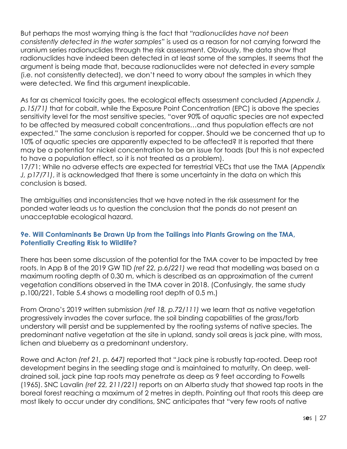But perhaps the most worrying thing is the fact that *"radionuclides have not been consistently detected in the water samples"* is used as a reason for not carrying forward the uranium series radionuclides through the risk assessment. Obviously, the data show that radionuclides have indeed been detected in at least some of the samples. It seems that the argument is being made that, because radionuclides were not detected in *every* sample (i.e. not consistently detected), we don't need to worry about the samples in which they were detected. We find this argument inexplicable.

As far as chemical toxicity goes, the ecological effects assessment concluded *(Appendix J, p.15/71)* that for cobalt, while the Exposure Point Concentration (EPC) is above the species sensitivity level for the most sensitive species, "over 90% of aquatic species are not expected to be affected by measured cobalt concentrations…and thus population effects are not expected." The same conclusion is reported for copper. Should we be concerned that up to 10% of aquatic species are apparently expected to be affected? It is reported that there may be a potential for nickel concentration to be an issue for toads (but this is not expected to have a population effect, so it is not treated as a problem).

17/71: While no adverse effects are expected for terrestrial VECs that use the TMA (*Appendix J, p17/71)*, it is acknowledged that there is some uncertainty in the data on which this conclusion is based.

The ambiguities and inconsistencies that we have noted in the risk assessment for the ponded water leads us to question the conclusion that the ponds do not present an unacceptable ecological hazard.

#### **9e. Will Contaminants Be Drawn Up from the Tailings into Plants Growing on the TMA, Potentially Creating Risk to Wildlife?**

There has been some discussion of the potential for the TMA cover to be impacted by tree roots. In App B of the 2019 GW TID *(ref 22, p.6/221)* we read that modelling was based on a maximum rooting depth of 0.30 m, which is described as an approximation of the current vegetation conditions observed in the TMA cover in 2018. (Confusingly, the same study p.100/221, Table 5.4 shows a modelling root depth of 0.5 m.)

From Orano's 2019 written submission *(ref 18, p.72/111)* we learn that as native vegetation progressively invades the cover surface, the soil binding capabilities of the grass/forb understory will persist and be supplemented by the rooting systems of native species. The predominant native vegetation at the site in upland, sandy soil areas is jack pine, with moss, lichen and blueberry as a predominant understory.

Rowe and Acton *(ref 21, p. 647)* reported that "Jack pine is robustly tap-rooted. Deep root development begins in the seedling stage and is maintained to maturity. On deep, welldrained soil, jack pine tap roots may penetrate as deep as 9 feet according to Fowells (1965). SNC Lavalin *(ref 22, 211/221)* reports on an Alberta study that showed tap roots in the boreal forest reaching a maximum of 2 metres in depth. Pointing out that roots this deep are most likely to occur under dry conditions, SNC anticipates that "very few roots of native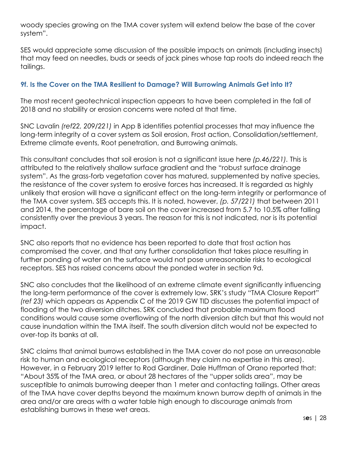woody species growing on the TMA cover system will extend below the base of the cover system".

SES would appreciate some discussion of the possible impacts on animals (including insects) that may feed on needles, buds or seeds of jack pines whose tap roots do indeed reach the tailings.

#### **9f. Is the Cover on the TMA Resilient to Damage? Will Burrowing Animals Get into It?**

The most recent geotechnical inspection appears to have been completed in the fall of 2018 and no stability or erosion concerns were noted at that time.

SNC Lavalin *(ref22, 209/221)* in App B identifies potential processes that may influence the long-term integrity of a cover system as Soil erosion, Frost action, Consolidation/settlement, Extreme climate events, Root penetration, and Burrowing animals.

This consultant concludes that soil erosion is not a significant issue here *(p.46/221).* This is attributed to the relatively shallow surface gradient and the "robust surface drainage system". As the grass-forb vegetation cover has matured, supplemented by native species, the resistance of the cover system to erosive forces has increased. It is regarded as highly unlikely that erosion will have a significant effect on the long-term integrity or performance of the TMA cover system. SES accepts this. It is noted, however, *(p. 57/221)* that between 2011 and 2014, the percentage of bare soil on the cover increased from 5.7 to 10.5% after falling consistently over the previous 3 years. The reason for this is not indicated, nor is its potential impact.

SNC also reports that no evidence has been reported to date that frost action has compromised the cover, and that any further consolidation that takes place resulting in further ponding of water on the surface would not pose unreasonable risks to ecological receptors. SES has raised concerns about the ponded water in section 9d.

SNC also concludes that the likelihood of an extreme climate event significantly influencing the long-term performance of the cover is extremely low. SRK's study "TMA Closure Report" *(ref 23)* which appears as Appendix C of the 2019 GW TID discusses the potential impact of flooding of the two diversion ditches. SRK concluded that probable maximum flood conditions would cause some overflowing of the north diversion ditch but that this would not cause inundation within the TMA itself. The south diversion ditch would not be expected to over-top its banks at all.

SNC claims that animal burrows established in the TMA cover do not pose an unreasonable risk to human and ecological receptors (although they claim no expertise in this area). However, in a February 2019 letter to Rod Gardiner, Dale Huffman of Orano reported that: "About 35% of the TMA area, or about 28 hectares of the "upper solids area", may be susceptible to animals burrowing deeper than 1 meter and contacting tailings. Other areas of the TMA have cover depths beyond the maximum known burrow depth of animals in the area and/or are areas with a water table high enough to discourage animals from establishing burrows in these wet areas.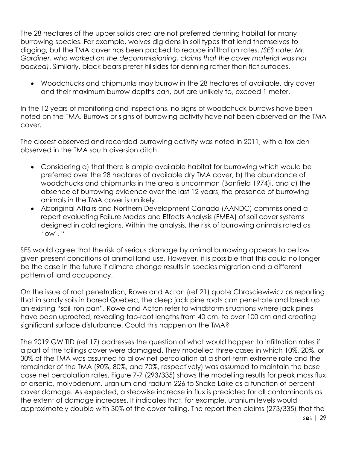The 28 hectares of the upper solids area are not preferred denning habitat for many burrowing species. For example, wolves dig dens in soil types that lend themselves to digging, but the TMA cover has been packed to reduce infiltration rates. *(SES note: Mr.*  Gardiner, who worked on the decommissioning, claims that the cover material was not *packed)*. Similarly, black bears prefer hillsides for denning rather than flat surfaces.

• Woodchucks and chipmunks may burrow in the 28 hectares of available, dry cover and their maximum burrow depths can, but are unlikely to, exceed 1 meter.

In the 12 years of monitoring and inspections, no signs of woodchuck burrows have been noted on the TMA. Burrows or signs of burrowing activity have not been observed on the TMA cover.

The closest observed and recorded burrowing activity was noted in 2011, with a fox den observed in the TMA south diversion ditch.

- Considering a) that there is ample available habitat for burrowing which would be preferred over the 28 hectares of available dry TMA cover, b) the abundance of woodchucks and chipmunks in the area is uncommon (Banfield 1974)i, and c) the absence of burrowing evidence over the last 12 years, the presence of burrowing animals in the TMA cover is unlikely.
- Aboriginal Affairs and Northern Development Canada (AANDC) commissioned a report evaluating Failure Modes and Effects Analysis (FMEA) of soil cover systems designed in cold regions. Within the analysis, the risk of burrowing animals rated as 'low'. "

SES would agree that the risk of serious damage by animal burrowing appears to be low given present conditions of animal land use. However, it is possible that this could no longer be the case in the future if climate change results in species migration and a different pattern of land occupancy.

On the issue of root penetration, Rowe and Acton (ref 21) quote Chrosciewiwicz as reporting that in sandy soils in boreal Quebec, the deep jack pine roots can penetrate and break up an existing "soil iron pan". Rowe and Acton refer to windstorm situations where jack pines have been uprooted, revealing tap-root lengths from 40 cm. to over 100 cm and creating significant surface disturbance. Could this happen on the TMA?

The 2019 GW TID (ref 17) addresses the question of what would happen to infiltration rates if a part of the tailings cover were damaged. They modelled three cases in which 10%, 20%, or 30% of the TMA was assumed to allow net percolation at a short-term extreme rate and the remainder of the TMA (90%, 80%, and 70%, respectively) was assumed to maintain the base case net percolation rates. Figure 7-7 (293/335) shows the modelling results for peak mass flux of arsenic, molybdenum, uranium and radium-226 to Snake Lake as a function of percent cover damage. As expected, a stepwise increase in flux is predicted for all contaminants as the extent of damage increases. It indicates that, for example, uranium levels would approximately double with 30% of the cover failing. The report then claims (273/335) that the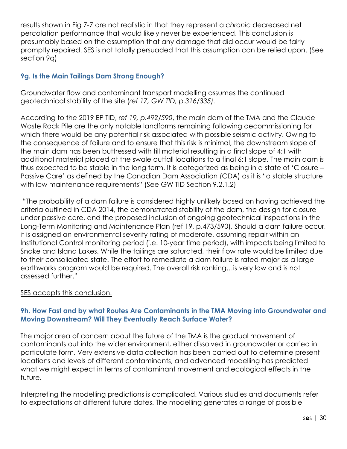results shown in Fig 7-7 are not realistic in that they represent a *chronic* decreased net percolation performance that would likely never be experienced. This conclusion is presumably based on the assumption that any damage that did occur would be fairly promptly repaired. SES is not totally persuaded that this assumption can be relied upon. (See section 9q)

#### **9g. Is the Main Tailings Dam Strong Enough?**

Groundwater flow and contaminant transport modelling assumes the continued geotechnical stability of the site (*ref 17, GW TID, p.316/335).* 

According to the 2019 EP TID, r*ef 19, p.492/590*, the main dam of the TMA and the Claude Waste Rock Pile are the only notable landforms remaining following decommissioning for which there would be any potential risk associated with possible seismic activity. Owing to the consequence of failure and to ensure that this risk is minimal, the downstream slope of the main dam has been buttressed with till material resulting in a final slope of 4:1 with additional material placed at the swale outfall locations to a final 6:1 slope. The main dam is thus expected to be stable in the long term. It is categorized as being in a state of 'Closure – Passive Care' as defined by the Canadian Dam Association (CDA) as it is "a stable structure with low maintenance requirements" (See GW TID Section 9.2.1.2)

"The probability of a dam failure is considered highly unlikely based on having achieved the criteria outlined in CDA 2014, the demonstrated stability of the dam, the design for closure under passive care, and the proposed inclusion of ongoing geotechnical inspections in the Long-Term Monitoring and Maintenance Plan (ref 19, p.473/590). Should a dam failure occur, it is assigned an environmental severity rating of moderate, assuming repair within an Institutional Control monitoring period (i.e. 10-year time period), with impacts being limited to Snake and Island Lakes. While the tailings are saturated, their flow rate would be limited due to their consolidated state. The effort to remediate a dam failure is rated major as a large earthworks program would be required. The overall risk ranking…is very low and is not assessed further."

#### SES accepts this conclusion.

#### **9h. How Fast and by what Routes Are Contaminants in the TMA Moving into Groundwater and Moving Downstream? Will They Eventually Reach Surface Water?**

The major area of concern about the future of the TMA is the gradual movement of contaminants out into the wider environment, either dissolved in groundwater or carried in particulate form. Very extensive data collection has been carried out to determine present locations and levels of different contaminants, and advanced modelling has predicted what we might expect in terms of contaminant movement and ecological effects in the future.

Interpreting the modelling predictions is complicated. Various studies and documents refer to expectations at different future dates. The modelling generates a range of possible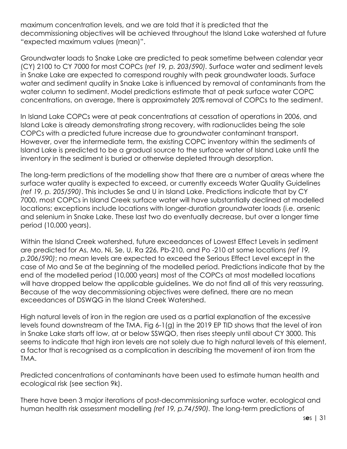maximum concentration levels, and we are told that it is predicted that the decommissioning objectives will be achieved throughout the Island Lake watershed at future "expected maximum values (mean)".

Groundwater loads to Snake Lake are predicted to peak sometime between calendar year (CY) 2100 to CY 7000 for most COPCs (r*ef 19, p. 203/590).* Surface water and sediment levels in Snake Lake are expected to correspond roughly with peak groundwater loads. Surface water and sediment quality in Snake Lake is influenced by removal of contaminants from the water column to sediment. Model predictions estimate that at peak surface water COPC concentrations, on average, there is approximately 20% removal of COPCs to the sediment.

In Island Lake COPCs were at peak concentrations at cessation of operations in 2006, and Island Lake is already demonstrating strong recovery, with radionuclides being the sole COPCs with a predicted future increase due to groundwater contaminant transport. However, over the intermediate term, the existing COPC inventory within the sediments of Island Lake is predicted to be a gradual source to the surface water of Island Lake until the inventory in the sediment is buried or otherwise depleted through desorption.

The long-term predictions of the modelling show that there are a number of areas where the surface water quality is expected to exceed, or currently exceeds Water Quality Guidelines *(ref 19, p. 205/590)*. This includes Se and U in Island Lake. Predictions indicate that by CY 7000, most COPCs in Island Creek surface water will have substantially declined at modelled locations; exceptions include locations with longer-duration groundwater loads (i.e. arsenic and selenium in Snake Lake. These last two do eventually decrease, but over a longer time period (10,000 years).

Within the Island Creek watershed, future exceedances of Lowest Effect Levels in sediment are predicted for As, Mo, Ni, Se, U, Ra 226, Pb-210, and Po -210 at some locations *(ref 19, p.206/590)*; no *mean* levels are expected to exceed the Serious Effect Level except in the case of Mo and Se at the beginning of the modelled period. Predictions indicate that by the end of the modelled period (10,000 years) most of the COPCs at most modelled locations will have dropped below the applicable guidelines. We do not find all of this very reassuring. Because of the way decommissioning objectives were defined, there are no mean exceedances of DSWQG in the Island Creek Watershed.

High natural levels of iron in the region are used as a partial explanation of the excessive levels found downstream of the TMA. Fig 6-1(g) in the 2019 EP TID shows that the level of iron in Snake Lake starts off low, at or below SSWQO, then rises steeply until about CY 3000. This seems to indicate that high iron levels are not solely due to high natural levels of this element, a factor that is recognised as a complication in describing the movement of iron from the TMA.

Predicted concentrations of contaminants have been used to estimate human health and ecological risk (see section 9k).

There have been 3 major iterations of post-decommissioning surface water, ecological and human health risk assessment modelling *(ref 19, p.74/590).* The long-term predictions of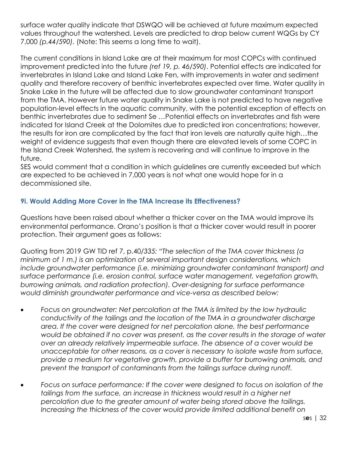surface water quality indicate that DSWQO will be achieved at future maximum expected values throughout the watershed. Levels are predicted to drop below current WQGs by CY 7,000 *(p.44/590).* (Note: This seems a long time to wait).

The current conditions in Island Lake are at their maximum for most COPCs with continued improvement predicted into the future *(ref 19, p. 46/590)*. Potential effects are indicated for invertebrates in Island Lake and Island Lake Fen, with improvements in water and sediment quality and therefore recovery of benthic invertebrates expected over time. Water quality in Snake Lake in the future will be affected due to slow groundwater contaminant transport from the TMA. However future water quality in Snake Lake is not predicted to have negative population-level effects in the aquatic community, with the potential exception of effects on benthic invertebrates due to sediment Se …Potential effects on invertebrates and fish were indicated for Island Creek at the Dolomites due to predicted iron concentrations; however, the results for iron are complicated by the fact that iron levels are naturally quite high…the weight of evidence suggests that even though there are elevated levels of some COPC in the Island Creek Watershed, the system is recovering and will continue to improve in the future.

SES would comment that a condition in which guidelines are currently exceeded but which are expected to be achieved in 7,000 years is not what one would hope for in a decommissioned site.

#### **9i. Would Adding More Cover in the TMA Increase its Effectiveness?**

Questions have been raised about whether a thicker cover on the TMA would improve its environmental performance. Orano's position is that a thicker cover would result in poorer protection. Their argument goes as follows:

Quoting from 2019 GW TID ref 7, p.40/*335: "The selection of the TMA cover thickness (a minimum of 1 m.) is an optimization of several important design considerations, which include groundwater performance (i.e. minimizing groundwater contaminant transport) and surface performance (i.e. erosion control, surface water management, vegetation growth, burrowing animals, and radiation protection). Over-designing for surface performance would diminish groundwater performance and vice-versa as described below:*

- *Focus on groundwater: Net percolation at the TMA is limited by the low hydraulic conductivity of the tailings and the location of the TMA in a groundwater discharge area. If the cover were designed for net percolation alone, the best performance would be obtained if no cover was present, as the cover results in the storage of water over an already relatively impermeable surface. The absence of a cover would be unacceptable for other reasons, as a cover is necessary to isolate waste from surface, provide a medium for vegetative growth, provide a buffer for burrowing animals, and prevent the transport of contaminants from the tailings surface during runoff.*
- *Focus on surface performance: If the cover were designed to focus on isolation of the tailings from the surface, an increase in thickness would result in a higher net percolation due to the greater amount of water being stored above the tailings. Increasing the thickness of the cover would provide limited additional benefit on*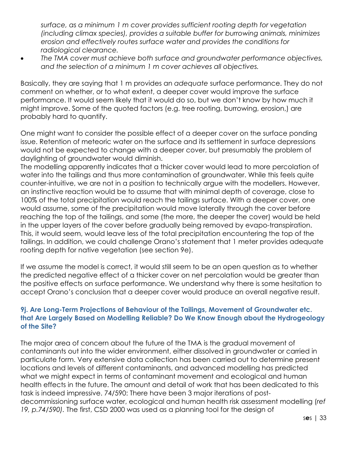*surface, as a minimum 1 m cover provides sufficient rooting depth for vegetation (including climax species), provides a suitable buffer for burrowing animals, minimizes erosion and effectively routes surface water and provides the conditions for radiological clearance.*

• *The TMA cover must achieve both surface and groundwater performance objectives, and the selection of a minimum 1 m cover achieves all objectives.*

Basically, they are saying that 1 m provides an *adequate* surface performance. They do not comment on whether, or to what extent, a deeper cover would improve the surface performance. It would seem likely that it would do so, but we don't know by how much it might improve. Some of the quoted factors (e.g. tree rooting, burrowing, erosion,) are probably hard to quantify.

One might want to consider the possible effect of a deeper cover on the surface ponding issue. Retention of meteoric water on the surface and its settlement in surface depressions would not be expected to change with a deeper cover, but presumably the problem of daylighting of groundwater would diminish.

The modelling apparently indicates that a thicker cover would lead to more percolation of water into the tailings and thus more contamination of groundwater. While this feels quite counter-intuitive, we are not in a position to technically argue with the modellers. However, an instinctive reaction would be to assume that with minimal depth of coverage, close to 100% of the total precipitation would reach the tailings surface. With a deeper cover, one would assume, some of the precipitation would move laterally through the cover before reaching the top of the tailings, and some (the more, the deeper the cover) would be held in the upper layers of the cover before gradually being removed by evapo-transpiration. This, it would seem, would leave less of the total precipitation encountering the top of the tailings. In addition, we could challenge Orano's statement that 1 meter provides adequate rooting depth for native vegetation (see section 9e).

If we assume the model is correct, it would still seem to be an open question as to whether the predicted negative effect of a thicker cover on net percolation would be greater than the positive effects on surface performance. We understand why there is some hesitation to accept Orano's conclusion that a deeper cover would produce an overall negative result.

#### **9j. Are Long-Term Projections of Behaviour of the Tailings, Movement of Groundwater etc. that Are Largely Based on Modelling Reliable? Do We Know Enough about the Hydrogeology of the Site?**

The major area of concern about the future of the TMA is the gradual movement of contaminants out into the wider environment, either dissolved in groundwater or carried in particulate form. Very extensive data collection has been carried out to determine present locations and levels of different contaminants, and advanced modelling has predicted what we might expect in terms of contaminant movement and ecological and human health effects in the future. The amount and detail of work that has been dedicated to this task is indeed impressive. 74/590: There have been 3 major iterations of postdecommissioning surface water, ecological and human health risk assessment modelling (*ref 19, p.74/590).* The first, CSD 2000 was used as a planning tool for the design of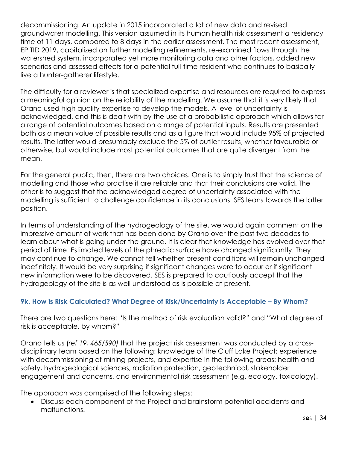decommissioning. An update in 2015 incorporated a lot of new data and revised groundwater modelling. This version assumed in its human health risk assessment a residency time of 11 days, compared to 8 days in the earlier assessment. The most recent assessment, EP TID 2019, capitalized on further modelling refinements, re-examined flows through the watershed system, incorporated yet more monitoring data and other factors, added new scenarios and assessed effects for a potential full-time resident who continues to basically live a hunter-gatherer lifestyle.

The difficulty for a reviewer is that specialized expertise and resources are required to express a meaningful opinion on the reliability of the modelling. We assume that it is very likely that Orano used high quality expertise to develop the models. A level of uncertainty is acknowledged, and this is dealt with by the use of a probabilistic approach which allows for a range of potential outcomes based on a range of potential inputs. Results are presented both as a mean value of possible results and as a figure that would include 95% of projected results. The latter would presumably exclude the 5% of outlier results, whether favourable or otherwise, but would include most potential outcomes that are quite divergent from the mean.

For the general public, then, there are two choices. One is to simply trust that the science of modelling and those who practise it are reliable and that their conclusions are valid. The other is to suggest that the acknowledged degree of uncertainty associated with the modelling is sufficient to challenge confidence in its conclusions. SES leans towards the latter position.

In terms of understanding of the hydrogeology of the site, we would again comment on the impressive amount of work that has been done by Orano over the past two decades to learn about what is going under the ground. It is clear that knowledge has evolved over that period of time. Estimated levels of the phreatic surface have changed significantly. They may continue to change. We cannot tell whether present conditions will remain unchanged indefinitely. It would be very surprising if significant changes were to occur or if significant new information were to be discovered. SES is prepared to cautiously accept that the hydrogeology of the site is as well understood as is possible at present.

#### **9k. How is Risk Calculated? What Degree of Risk/Uncertainty is Acceptable – By Whom?**

There are two questions here: "Is the method of risk evaluation valid?" and "What degree of risk is acceptable, by whom?"

Orano tells us (*ref 19, 465/590)* that the project risk assessment was conducted by a crossdisciplinary team based on the following: knowledge of the Cluff Lake Project; experience with decommissioning of mining projects, and expertise in the following areas: health and safety, hydrogeological sciences, radiation protection, geotechnical, stakeholder engagement and concerns, and environmental risk assessment (e.g. ecology, toxicology).

The approach was comprised of the following steps:

• Discuss each component of the Project and brainstorm potential accidents and malfunctions.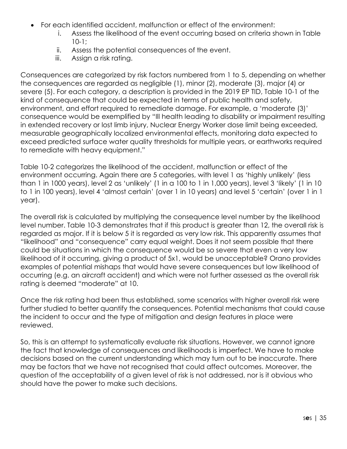- For each identified accident, malfunction or effect of the environment:
	- i. Assess the likelihood of the event occurring based on criteria shown in Table 10-1;
	- ii. Assess the potential consequences of the event.
	- iii. Assign a risk rating.

Consequences are categorized by risk factors numbered from 1 to 5, depending on whether the consequences are regarded as negligible (1), minor (2), moderate (3), major (4) or severe (5). For each category, a description is provided in the 2019 EP TID, Table 10-1 of the kind of consequence that could be expected in terms of public health and safety, environment, and effort required to remediate damage. For example, a 'moderate (3)' consequence would be exemplified by "Ill health leading to disability or impairment resulting in extended recovery or lost limb injury, Nuclear Energy Worker dose limit being exceeded, measurable geographically localized environmental effects, monitoring data expected to exceed predicted surface water quality thresholds for multiple years, or earthworks required to remediate with heavy equipment."

Table 10-2 categorizes the likelihood of the accident, malfunction or effect of the environment occurring. Again there are 5 categories, with level 1 as 'highly unlikely' (less than 1 in 1000 years), level 2 as 'unlikely' (1 in a 100 to 1 in 1,000 years), level 3 'likely' (1 in 10 to 1 in 100 years), level 4 'almost certain' (over 1 in 10 years) and level 5 'certain' (over 1 in 1 year).

The overall risk is calculated by multiplying the consequence level number by the likelihood level number. Table 10-3 demonstrates that if this product is greater than 12, the overall risk is regarded as major. If it is below 5 it is regarded as very low risk. This apparently assumes that "likelihood" and "consequence" carry equal weight. Does it not seem possible that there could be situations in which the consequence would be so severe that even a very low likelihood of it occurring, giving a product of 5x1, would be unacceptable? Orano provides examples of potential mishaps that would have severe consequences but low likelihood of occurring (e.g. an aircraft accident) and which were not further assessed as the overall risk rating is deemed "moderate" at 10.

Once the risk rating had been thus established, some scenarios with higher overall risk were further studied to better quantify the consequences. Potential mechanisms that could cause the incident to occur and the type of mitigation and design features in place were reviewed.

So, this is an attempt to systematically evaluate risk situations. However, we cannot ignore the fact that knowledge of consequences and likelihoods is imperfect. We have to make decisions based on the current understanding which may turn out to be inaccurate. There may be factors that we have not recognised that could affect outcomes. Moreover, the question of the acceptability of a given level of risk is not addressed, nor is it obvious who should have the power to make such decisions.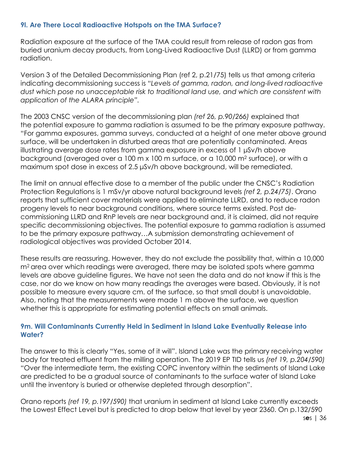#### **9l. Are There Local Radioactive Hotspots on the TMA Surface?**

Radiation exposure at the surface of the TMA could result from release of radon gas from buried uranium decay products, from Long-Lived Radioactive Dust (LLRD) or from gamma radiation.

Version 3 of the Detailed Decommissioning Plan (ref 2, p.21/75) tells us that among criteria indicating decommissioning success is "*Levels of gamma, radon, and long-lived radioactive dust which pose no unacceptable risk to traditional land use, and which are consistent with application of the ALARA principle".*

The 2003 CNSC version of the decommissioning plan *(ref 26, p.90/266)* explained that the potential exposure to gamma radiation is assumed to be the primary exposure pathway. "For gamma exposures, gamma surveys, conducted at a height of one meter above ground surface, will be undertaken in disturbed areas that are potentially contaminated. Areas illustrating average dose rates from gamma exposure in excess of 1 µSv/h above background (averaged over a 100 m x 100 m surface, or a 10,000 m2 surface), or with a maximum spot dose in excess of 2.5 µSv/h above background, will be remediated.

The limit on annual effective dose to a member of the public under the CNSC's Radiation Protection Regulations is 1 mSv/yr above natural background levels *(ref 2, p.24/75)*. Orano reports that sufficient cover materials were applied to eliminate LLRD, and to reduce radon progeny levels to near background conditions, where source terms existed. Post decommissioning LLRD and RnP levels are near background and, it is claimed, did not require specific decommissioning objectives. The potential exposure to gamma radiation is assumed to be the primary exposure pathway…A submission demonstrating achievement of radiological objectives was provided October 2014.

These results are reassuring. However, they do not exclude the possibility that, within a 10,000 m<sup>2</sup> area over which readings were averaged, there may be isolated spots where gamma levels are above guideline figures. We have not seen the data and do not know if this is the case, nor do we know on how many readings the averages were based. Obviously, it is not possible to measure every square cm. of the surface, so that small doubt is unavoidable. Also, noting that the measurements were made 1 m above the surface, we question whether this is appropriate for estimating potential effects on small animals.

#### **9m. Will Contaminants Currently Held in Sediment in Island Lake Eventually Release into Water?**

The answer to this is clearly "Yes, some of it will". Island Lake was the primary receiving water body for treated effluent from the milling operation. The 2019 EP TID tells us *(ref 19, p.204/590)* "Over the intermediate term, the existing COPC inventory within the sediments of Island Lake are predicted to be a gradual source of contaminants to the surface water of Island Lake until the inventory is buried or otherwise depleted through desorption".

Orano reports *(ref 19, p.197/590)* that uranium in sediment at Island Lake currently exceeds the Lowest Effect Level but is predicted to drop below that level by year 2360. On p.132/590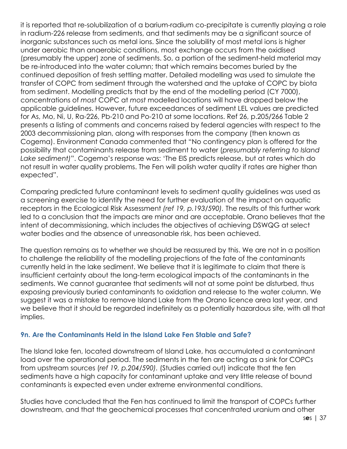it is reported that re-solubilization of a barium-radium co-precipitate is currently playing a role in radium-226 release from sediments, and that sediments may be a significant source of inorganic substances such as metal ions. Since the solubility of most metal ions is higher under aerobic than anaerobic conditions, most exchange occurs from the oxidised (presumably the upper) zone of sediments. So, a portion of the sediment-held material may be re-introduced into the water column; that which remains becomes buried by the continued deposition of fresh settling matter. Detailed modelling was used to simulate the transfer of COPC from sediment through the watershed and the uptake of COPC by biota from sediment. Modelling predicts that by the end of the modelling period (CY 7000), concentrations of *most* COPC at *most* modelled locations will have dropped below the applicable guidelines. However, future exceedances of sediment LEL values are predicted for As, Mo, Ni, U, Ra-226, Pb-210 and Po-210 at some locations. Ref 26, p.205/266 Table 2 presents a listing of comments and concerns raised by federal agencies with respect to the 2003 decommissioning plan, along with responses from the company (then known as Cogema). Environment Canada commented that "No contingency plan is offered for the possibility that contaminants release from sediment to water (*presumably referring to Island Lake sediment)*". Cogema's response was: 'The EIS predicts release, but at rates which do not result in water quality problems. The Fen will polish water quality if rates are higher than expected".

Comparing predicted future contaminant levels to sediment quality guidelines was used as a screening exercise to identify the need for further evaluation of the impact on aquatic receptors in the Ecological Risk Assessment *(ref 19, p.193/590).* The results of this further work led to a conclusion that the impacts are minor and are acceptable. Orano believes that the intent of decommissioning, which includes the objectives of achieving DSWQG at select water bodies and the absence of unreasonable risk, has been achieved.

The question remains as to whether we should be reassured by this. We are not in a position to challenge the reliability of the modelling projections of the fate of the contaminants currently held in the lake sediment. We believe that it is legitimate to claim that there is insufficient certainty about the long-term ecological impacts of the contaminants in the sediments. We cannot guarantee that sediments will not at some point be disturbed, thus exposing previously buried contaminants to oxidation and release to the water column. We suggest it was a mistake to remove Island Lake from the Orano licence area last year, and we believe that it should be regarded indefinitely as a potentially hazardous site, with all that implies.

#### **9n. Are the Contaminants Held in the Island Lake Fen Stable and Safe?**

The Island lake fen, located downstream of Island Lake, has accumulated a contaminant load over the operational period. The sediments in the fen are acting as a sink for COPCs from upstream sources (*ref 19, p.204/590).* (Studies carried out) indicate that the fen sediments have a high capacity for contaminant uptake and very little release of bound contaminants is expected even under extreme environmental conditions.

Studies have concluded that the Fen has continued to limit the transport of COPCs further downstream, and that the geochemical processes that concentrated uranium and other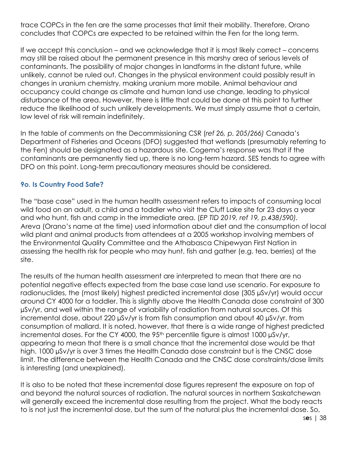trace COPCs in the fen are the same processes that limit their mobility. Therefore, Orano concludes that COPCs are expected to be retained within the Fen for the long term.

If we accept this conclusion – and we acknowledge that it is most likely correct – concerns may still be raised about the permanent presence in this marshy area of serious levels of contaminants. The possibility of major changes in landforms in the distant future, while unlikely, cannot be ruled out. Changes in the physical environment could possibly result in changes in uranium chemistry, making uranium more mobile. Animal behaviour and occupancy could change as climate and human land use change, leading to physical disturbance of the area. However, there is little that could be done at this point to further reduce the likelihood of such unlikely developments. We must simply assume that a certain, low level of risk will remain indefinitely.

In the table of comments on the Decommissioning CSR (*ref 26, p. 205/266)* Canada's Department of Fisheries and Oceans (DFO) suggested that wetlands (presumably referring to the Fen) should be designated as a hazardous site. Cogema's response was that if the contaminants are permanently tied up, there is no long-term hazard. SES tends to agree with DFO on this point. Long-term precautionary measures should be considered.

#### **9o. Is Country Food Safe?**

The "base case" used in the human health assessment refers to impacts of consuming local wild food on an adult, a child and a toddler who visit the Cluff Lake site for 23 days a year and who hunt, fish and camp in the immediate area. (*EP TID 2019, ref 19, p.438/590).* Areva (Orano's name at the time) used information about diet and the consumption of local wild plant and animal products from attendees at a 2005 workshop involving members of the Environmental Quality Committee and the Athabasca Chipewyan First Nation in assessing the health risk for people who may hunt, fish and gather (e.g. tea, berries) at the site.

The results of the human health assessment are interpreted to mean that there are no potential negative effects expected from the base case land use scenario. For exposure to radionuclides, the (most likely) highest predicted incremental dose (305 µSv/yr) would occur around CY 4000 for a toddler. This is slightly above the Health Canada dose constraint of 300 µSv/yr, and well within the range of variability of radiation from natural sources. Of this incremental dose, about 220 µSv/yr is from fish consumption and about 40 µSv/yr. from consumption of mallard. It is noted, however, that there is a wide range of highest predicted incremental doses. For the CY 4000, the 95<sup>th</sup> percentile figure is almost 1000 µSv/yr, appearing to mean that there is a small chance that the incremental dose would be that high. 1000 µSv/yr is over 3 times the Health Canada dose constraint but is the CNSC dose limit. The difference between the Health Canada and the CNSC dose constraints/dose limits is interesting (and unexplained).

It is also to be noted that these incremental dose figures represent the exposure on top of and beyond the natural sources of radiation. The natural sources in northern Saskatchewan will generally exceed the incremental dose resulting from the project. What the body reacts to is not just the incremental dose, but the sum of the natural plus the incremental dose. So,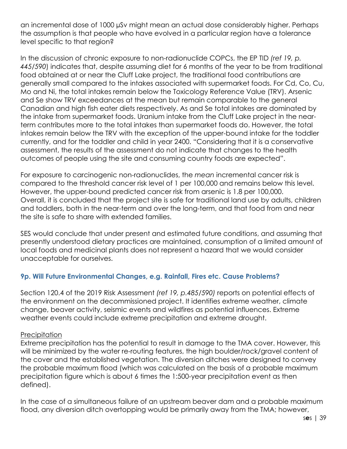an incremental dose of 1000 µSv might mean an actual dose considerably higher. Perhaps the assumption is that people who have evolved in a particular region have a tolerance level specific to that region?

In the discussion of chronic exposure to non-radionuclide COPCs, the EP TID *(ref 19, p. 445/590*) indicates that, despite assuming diet for 6 months of the year to be from traditional food obtained at or near the Cluff Lake project, the traditional food contributions are generally small compared to the intakes associated with supermarket foods. For Cd, Co, Cu, Mo and Ni, the total intakes remain below the Toxicology Reference Value (TRV). Arsenic and Se show TRV exceedances at the mean but remain comparable to the general Canadian and high fish eater diets respectively. As and Se total intakes are dominated by the intake from supermarket foods. Uranium intake from the Cluff Lake project in the nearterm contributes more to the total intakes than supermarket foods do. However, the total intakes remain below the TRV with the exception of the upper-bound intake for the toddler currently, and for the toddler and child in year 2400. "Considering that it is a conservative assessment, the results of the assessment do not indicate that changes to the health outcomes of people using the site and consuming country foods are expected".

For exposure to carcinogenic non-radionuclides, the *mean* incremental cancer risk is compared to the threshold cancer risk level of 1 per 100,000 and remains below this level. However, the upper-bound predicted cancer risk from arsenic is 1.8 per 100,000. Overall, it is concluded that the project site is safe for traditional land use by adults, children and toddlers, both in the near-term and over the long-term, and that food from and near the site is safe to share with extended families.

SES would conclude that under present and estimated future conditions, and assuming that presently understood dietary practices are maintained, consumption of a limited amount of local foods and medicinal plants does not represent a hazard that we would consider unacceptable for ourselves.

#### **9p. Will Future Environmental Changes, e.g. Rainfall, Fires etc. Cause Problems?**

Section 120.4 of the 2019 Risk Assessment *(ref 19, p.485/590)* reports on potential effects of the environment on the decommissioned project. It identifies extreme weather, climate change, beaver activity, seismic events and wildfires as potential influences. Extreme weather events could include extreme precipitation and extreme drought.

#### **Precipitation**

Extreme precipitation has the potential to result in damage to the TMA cover. However, this will be minimized by the water re-routing features, the high boulder/rock/gravel content of the cover and the established vegetation. The diversion ditches were designed to convey the probable maximum flood (which was calculated on the basis of a probable maximum precipitation figure which is about 6 times the 1:500-year precipitation event as then defined).

In the case of a simultaneous failure of an upstream beaver dam and a probable maximum flood, any diversion ditch overtopping would be primarily away from the TMA; however,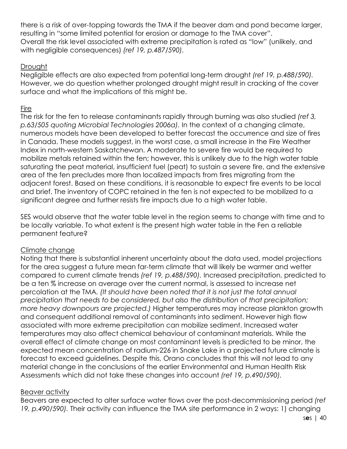there is a risk of over-topping towards the TMA if the beaver dam and pond became larger, resulting in "some limited potential for erosion or damage to the TMA cover". Overall the risk level associated with extreme precipitation is rated as "low" (unlikely, and with negligible consequences) *(ref 19, p.487/590).*

#### **Drought**

Negligible effects are also expected from potential long-term drought *(ref 19, p.488/590).* However, we do question whether prolonged drought might result in cracking of the cover surface and what the implications of this might be.

#### Fire

The risk for the fen to release contaminants rapidly through burning was also studied *(ref 3, p.63/505 quoting Microbial Technologies 2006a).* In the context of a changing climate, numerous models have been developed to better forecast the occurrence and size of fires in Canada. These models suggest, in the worst case, a small increase in the Fire Weather Index in north-western Saskatchewan. A moderate to severe fire would be required to mobilize metals retained within the fen; however, this is unlikely due to the high water table saturating the peat material, insufficient fuel (peat) to sustain a severe fire, and the extensive area of the fen precludes more than localized impacts from fires migrating from the adjacent forest. Based on these conditions, it is reasonable to expect fire events to be local and brief. The inventory of COPC retained in the fen is not expected to be mobilized to a significant degree and further resists fire impacts due to a high water table.

SES would observe that the water table level in the region seems to change with time and to be locally variable. To what extent is the present high water table in the Fen a reliable permanent feature?

#### Climate change

Noting that there is substantial inherent uncertainty about the data used, model projections for the area suggest a future mean far-term climate that will likely be warmer and wetter compared to current climate trends *(ref 19, p.488/590).* Increased precipitation, predicted to be a ten % increase on average over the current normal, is assessed to increase net percolation at the TMA*. (It should have been noted that it is not just the total annual precipitation that needs to be considered, but also the distribution of that precipitation; more heavy downpours are projected.)* Higher temperatures may increase plankton growth and consequent additional removal of contaminants into sediment. However high flow associated with more extreme precipitation can mobilize sediment. Increased water temperatures may also affect chemical behaviour of contaminant materials. While the overall effect of climate change on most contaminant levels is predicted to be minor, the expected mean concentration of radium-226 in Snake Lake in a projected future climate is forecast to exceed guidelines. Despite this, Orano concludes that this will not lead to any material change in the conclusions of the earlier Environmental and Human Health Risk Assessments which did not take these changes into account *(ref 19, p.490/590).*

#### Beaver activity

Beavers are expected to alter surface water flows over the post-decommissioning period *(ref 19, p.490/590).* Their activity can influence the TMA site performance in 2 ways: 1) changing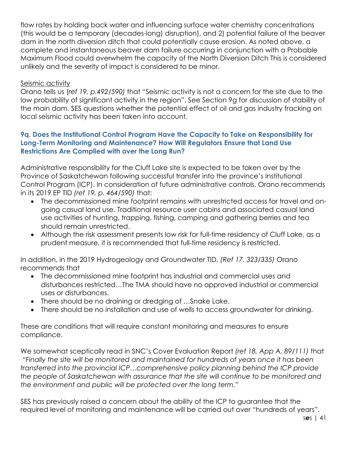flow rates by holding back water and influencing surface water chemistry concentrations (this would be a temporary (decades-long) disruption), and 2) potential failure of the beaver dam in the north diversion ditch that could potentially cause erosion. As noted above, a complete and instantaneous beaver dam failure occurring in conjunction with a Probable Maximum Flood could overwhelm the capacity of the North Diversion Ditch This is considered unlikely and the severity of impact is considered to be minor.

#### Seismic activity

Orano tells us (*ref 19, p.492/590)* that "Seismic activity is not a concern for the site due to the low probability of significant activity in the region". See Section 9g for discussion of stability of the main dam. SES questions whether the potential effect of oil and gas industry fracking on local seismic activity has been taken into account.

#### **9q. Does the Institutional Control Program Have the Capacity to Take on Responsibility for Long-Term Monitoring and Maintenance? How Will Regulators Ensure that Land Use Restrictions Are Complied with over the Long Run?**

Administrative responsibility for the Cluff Lake site is expected to be taken over by the Province of Saskatchewan following successful transfer into the province's Institutional Control Program (ICP). In consideration of future administrative controls, Orano recommends in its 2019 EP TID *(ref 19, p. 464/590)* that:

- The decommissioned mine footprint remains with unrestricted access for travel and ongoing casual land use. Traditional resource user cabins and associated casual land use activities of hunting, trapping, fishing, camping and gathering berries and tea should remain unrestricted.
- Although the risk assessment presents low risk for full-time residency of Cluff Lake, as a prudent measure, it is recommended that full-time residency is restricted.

In addition, in the 2019 Hydrogeology and Groundwater TID, *(Ref 17, 323/335)* Orano recommends that

- The decommissioned mine footprint has industrial and commercial uses and disturbances restricted…The TMA should have no approved industrial or commercial uses or disturbances.
- There should be no draining or dredging of …Snake Lake.
- There should be no installation and use of wells to access groundwater for drinking.

These are conditions that will require constant monitoring and measures to ensure compliance.

We somewhat sceptically read in SNC's Cover Evaluation Report *(ref 18, App A, 89/111)* that *"Finally the site will be monitored and maintained for hundreds of years once it has been transferred into the provincial ICP…comprehensive policy planning behind the ICP provide the people of Saskatchewan with assurance that the site will continue to be monitored and the environment and public will be protected over the long term."*

SES has previously raised a concern about the ability of the ICP to guarantee that the required level of monitoring and maintenance will be carried out over "hundreds of years".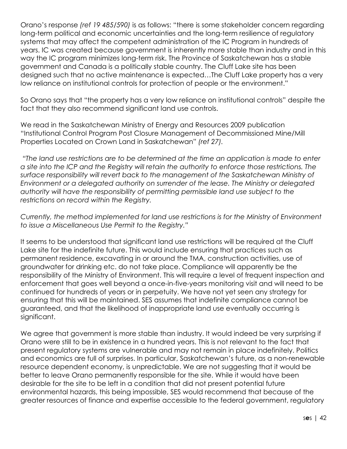Orano's response *(ref 19 485/590)* is as follows: "there is some stakeholder concern regarding long-term political and economic uncertainties and the long-term resilience of regulatory systems that may affect the competent administration of the IC Program in hundreds of years. IC was created because government is inherently more stable than industry and in this way the IC program minimizes long-term risk. The Province of Saskatchewan has a stable government and Canada is a politically stable country. The Cluff Lake site has been designed such that no active maintenance is expected…The Cluff Lake property has a very low reliance on institutional controls for protection of people or the environment."

So Orano says that "the property has a very low reliance on institutional controls" despite the fact that they also recommend significant land use controls.

We read in the Saskatchewan Ministry of Energy and Resources 2009 publication "Institutional Control Program Post Closure Management of Decommissioned Mine/Mill Properties Located on Crown Land in Saskatchewan" *(ref 27).*

*"The land use restrictions are to be determined at the time an application is made to enter a site into the ICP and the Registry will retain the authority to enforce those restrictions. The surface responsibility will revert back to the management of the Saskatchewan Ministry of Environment or a delegated authority on surrender of the lease. The Ministry or delegated authority will have the responsibility of permitting permissible land use subject to the restrictions on record within the Registry.*

*Currently, the method implemented for land use restrictions is for the Ministry of Environment to issue a Miscellaneous Use Permit to the Registry."*

It seems to be understood that significant land use restrictions will be required at the Cluff Lake site for the indefinite future. This would include ensuring that practices such as permanent residence, excavating in or around the TMA, construction activities, use of groundwater for drinking etc. do not take place. Compliance will apparently be the responsibility of the Ministry of Environment. This will require a level of frequent inspection and enforcement that goes well beyond a once-in-five-years monitoring visit and will need to be continued for hundreds of years or in perpetuity. We have not yet seen any strategy for ensuring that this will be maintained. SES assumes that indefinite compliance cannot be guaranteed, and that the likelihood of inappropriate land use eventually occurring is significant.

We agree that government is more stable than industry. It would indeed be very surprising if Orano were still to be in existence in a hundred years. This is not relevant to the fact that present regulatory systems are vulnerable and may not remain in place indefinitely. Politics and economics are full of surprises. In particular, Saskatchewan's future, as a non-renewable resource dependent economy, is unpredictable. We are not suggesting that it would be better to leave Orano permanently responsible for the site. While it would have been desirable for the site to be left in a condition that did not present potential future environmental hazards, this being impossible, SES would recommend that because of the greater resources of finance and expertise accessible to the federal government, regulatory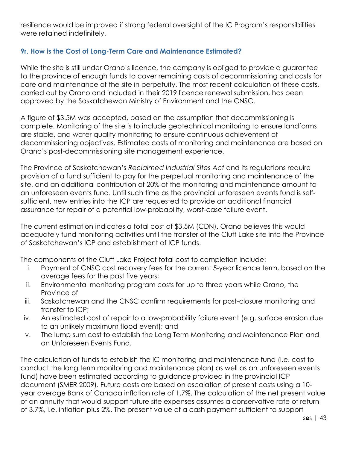resilience would be improved if strong federal oversight of the IC Program's responsibilities were retained indefinitely.

#### **9r. How is the Cost of Long-Term Care and Maintenance Estimated?**

While the site is still under Orano's licence, the company is obliged to provide a guarantee to the province of enough funds to cover remaining costs of decommissioning and costs for care and maintenance of the site in perpetuity. The most recent calculation of these costs, carried out by Orano and included in their 2019 licence renewal submission, has been approved by the Saskatchewan Ministry of Environment and the CNSC.

A figure of \$3.5M was accepted, based on the assumption that decommissioning is complete. Monitoring of the site is to include geotechnical monitoring to ensure landforms are stable, and water quality monitoring to ensure continuous achievement of decommissioning objectives. Estimated costs of monitoring and maintenance are based on Orano's post-decommissioning site management experience.

The Province of Saskatchewan's *Reclaimed Industrial Sites Act* and its regulations require provision of a fund sufficient to pay for the perpetual monitoring and maintenance of the site, and an additional contribution of 20% of the monitoring and maintenance amount to an unforeseen events fund. Until such time as the provincial unforeseen events fund is selfsufficient, new entries into the ICP are requested to provide an additional financial assurance for repair of a potential low-probability, worst-case failure event.

The current estimation indicates a total cost of \$3.5M (CDN). Orano believes this would adequately fund monitoring activities until the transfer of the Cluff Lake site into the Province of Saskatchewan's ICP and establishment of ICP funds.

The components of the Cluff Lake Project total cost to completion include:

- i. Payment of CNSC cost recovery fees for the current 5-year licence term, based on the average fees for the past five years;
- ii. Environmental monitoring program costs for up to three years while Orano, the Province of
- iii. Saskatchewan and the CNSC confirm requirements for post-closure monitoring and transfer to ICP;
- iv. An estimated cost of repair to a low-probability failure event (e.g. surface erosion due to an unlikely maximum flood event); and
- v. The lump sum cost to establish the Long Term Monitoring and Maintenance Plan and an Unforeseen Events Fund.

The calculation of funds to establish the IC monitoring and maintenance fund (i.e. cost to conduct the long term monitoring and maintenance plan) as well as an unforeseen events fund) have been estimated according to guidance provided in the provincial ICP document (SMER 2009). Future costs are based on escalation of present costs using a 10 year average Bank of Canada inflation rate of 1.7%. The calculation of the net present value of an annuity that would support future site expenses assumes a conservative rate of return of 3.7%, i.e. inflation plus 2%. The present value of a cash payment sufficient to support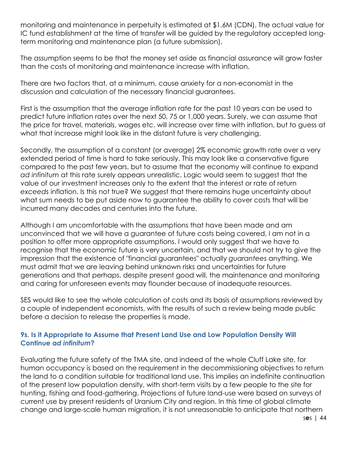monitoring and maintenance in perpetuity is estimated at \$1.6M (CDN). The actual value for IC fund establishment at the time of transfer will be guided by the regulatory accepted longterm monitoring and maintenance plan (a future submission).

The assumption seems to be that the money set aside as financial assurance will grow faster than the costs of monitoring and maintenance increase with inflation.

There are two factors that, at a minimum, cause anxiety for a non-economist in the discussion and calculation of the necessary financial guarantees.

First is the assumption that the average inflation rate for the past 10 years can be used to predict future inflation rates over the next 50, 75 or 1,000 years. Surely, we can assume that the price for travel, materials, wages etc. will increase over time with inflation, but to guess at what that increase might look like in the distant future is very challenging.

Secondly, the assumption of a constant (or average) 2% economic growth rate over a very extended period of time is hard to take seriously. This may look like a conservative figure compared to the past few years, but to assume that the economy will continue to expand *ad infinitum* at this rate surely appears unrealistic. Logic would seem to suggest that the value of our investment increases only to the extent that the interest or rate of return *exceeds* inflation. Is this not true? We suggest that there remains huge uncertainty about what sum needs to be put aside now to guarantee the ability to cover costs that will be incurred many decades and centuries into the future.

Although I am uncomfortable with the assumptions that have been made and am unconvinced that we will have a guarantee of future costs being covered, I am not in a position to offer more appropriate assumptions. I would only suggest that we have to recognise that the economic future is very uncertain, and that we should not try to give the impression that the existence of "financial guarantees" actually *guarantees* anything. We must admit that we are leaving behind unknown risks and uncertainties for future generations and that perhaps, despite present good will, the maintenance and monitoring and caring for unforeseen events may flounder because of inadequate resources.

SES would like to see the whole calculation of costs and its basis of assumptions reviewed by a couple of independent economists, with the results of such a review being made public before a decision to release the properties is made.

#### **9s. Is it Appropriate to Assume that Present Land Use and Low Population Density Will Continue a***d infinitum***?**

Evaluating the future safety of the TMA site, and indeed of the whole Cluff Lake site, for human occupancy is based on the requirement in the decommissioning objectives to return the land to a condition suitable for traditional land use. This implies an indefinite continuation of the present low population density, with short-term visits by a few people to the site for hunting, fishing and food-gathering. Projections of future land-use were based on surveys of current use by present residents of Uranium City and region. In this time of global climate change and large-scale human migration, it is not unreasonable to anticipate that northern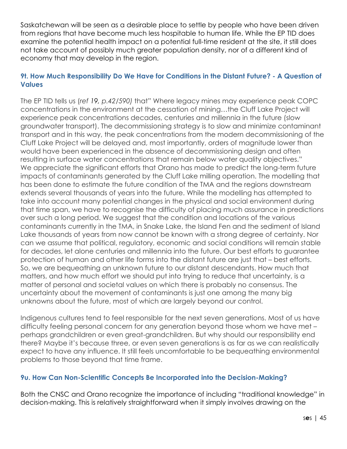Saskatchewan will be seen as a desirable place to settle by people who have been driven from regions that have become much less hospitable to human life. While the EP TID does examine the potential health impact on a potential full-time resident at the site, it still does not take account of possibly much greater population density, nor of a different kind of economy that may develop in the region.

#### **9t. How Much Responsibility Do We Have for Conditions in the Distant Future? - A Question of Values**

The EP TID tells us (*ref 19, p.42/590)* that" Where legacy mines may experience peak COPC concentrations in the environment at the cessation of mining…the Cluff Lake Project will experience peak concentrations decades, centuries and millennia in the future (slow groundwater transport). The decommissioning strategy is to slow and minimize contaminant transport and in this way, the peak concentrations from the modern decommissioning of the Cluff Lake Project will be delayed and, most importantly, orders of magnitude lower than would have been experienced in the absence of decommissioning design and often resulting in surface water concentrations that remain below water quality objectives." We appreciate the significant efforts that Orano has made to predict the long-term future impacts of contaminants generated by the Cluff Lake milling operation. The modelling that has been done to estimate the future condition of the TMA and the regions downstream extends several thousands of years into the future. While the modelling has attempted to take into account many potential changes in the physical and social environment during that time span, we have to recognise the difficulty of placing much assurance in predictions over such a long period. We suggest that the condition and locations of the various contaminants currently in the TMA, in Snake Lake, the Island Fen and the sediment of Island Lake thousands of years from now cannot be known with a strong degree of certainty. Nor can we assume that political, regulatory, economic and social conditions will remain stable for decades, let alone centuries and millennia into the future. Our best efforts to guarantee protection of human and other life forms into the distant future are just that – best efforts. So, we are bequeathing an unknown future to our distant descendants. How much that matters, and how much effort we should put into trying to reduce that uncertainty, is a matter of personal and societal values on which there is probably no consensus. The uncertainty about the movement of contaminants is just one among the many big unknowns about the future, most of which are largely beyond our control.

Indigenous cultures tend to feel responsible for the next seven generations. Most of us have difficulty feeling personal concern for any generation beyond those whom we have met – perhaps grandchildren or even great-grandchildren. But why should our responsibility end there? Maybe it's because three, or even seven generations is as far as we can realistically expect to have any influence. It still feels uncomfortable to be bequeathing environmental problems to those beyond that time frame.

#### **9u. How Can Non-Scientific Concepts Be Incorporated into the Decision-Making?**

Both the CNSC and Orano recognize the importance of including "traditional knowledge" in decision-making. This is relatively straightforward when it simply involves drawing on the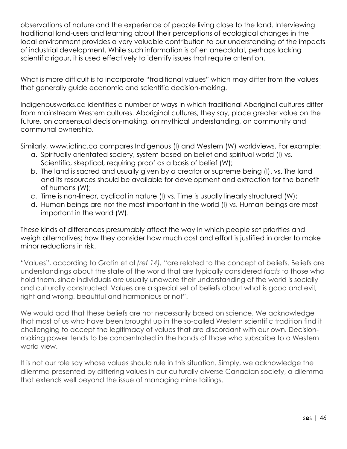observations of nature and the experience of people living close to the land. Interviewing traditional land-users and learning about their perceptions of ecological changes in the local environment provides a very valuable contribution to our understanding of the impacts of industrial development. While such information is often anecdotal, perhaps lacking scientific rigour, it is used effectively to identify issues that require attention.

What is more difficult is to incorporate "traditional values" which may differ from the values that generally guide economic and scientific decision-making.

Indigenousworks.ca identifies a number of ways in which traditional Aboriginal cultures differ from mainstream Western cultures. Aboriginal cultures, they say, place greater value on the future, on consensual decision-making, on mythical understanding, on community and communal ownership.

Similarly, www.ictinc.ca compares Indigenous (I) and Western (W) worldviews. For example:

- a. Spiritually orientated society, system based on belief and spiritual world (I) vs. Scientific, skeptical, requiring proof as a basis of belief (W);
- b. The land is sacred and usually given by a creator or supreme being (I). vs. The land and its resources should be available for development and extraction for the benefit of humans (W);
- c. Time is non-linear, cyclical in nature (I) vs. Time is usually linearly structured (W);
- d. Human beings are not the most important in the world (I) vs. Human beings are most important in the world (W).

These kinds of differences presumably affect the way in which people set priorities and weigh alternatives; how they consider how much cost and effort is justified in order to make minor reductions in risk.

"Values", according to Gratin et al *(ref 14),* "are related to the concept of beliefs. Beliefs are understandings about the state of the world that are typically considered *facts* to those who hold them, since individuals are usually unaware their understanding of the world is socially and culturally constructed. Values are a special set of beliefs about what is good and evil, right and wrong, beautiful and harmonious or not".

We would add that these beliefs are not necessarily based on science. We acknowledge that most of us who have been brought up in the so-called Western scientific tradition find it challenging to accept the legitimacy of values that are discordant with our own. Decisionmaking power tends to be concentrated in the hands of those who subscribe to a Western world view.

It is not our role say whose values should rule in this situation. Simply, we acknowledge the dilemma presented by differing values in our culturally diverse Canadian society, a dilemma that extends well beyond the issue of managing mine tailings.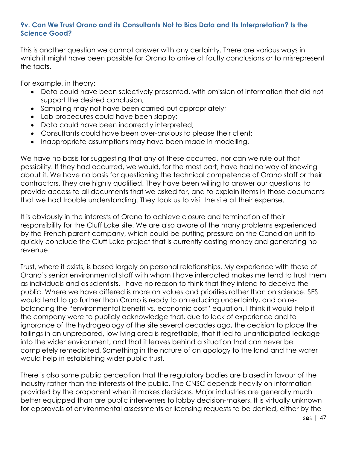#### **9v. Can We Trust Orano and its Consultants Not to Bias Data and Its Interpretation? Is the Science Good?**

This is another question we cannot answer with any certainty. There are various ways in which it might have been possible for Orano to arrive at faulty conclusions or to misrepresent the facts.

For example, in theory:

- Data could have been selectively presented, with omission of information that did not support the desired conclusion;
- Sampling may not have been carried out appropriately;
- Lab procedures could have been sloppy;
- Data could have been incorrectly interpreted:
- Consultants could have been over-anxious to please their client;
- Inappropriate assumptions may have been made in modelling.

We have no basis for suggesting that any of these occurred, nor can we rule out that possibility. If they had occurred, we would, for the most part, have had no way of knowing about it. We have no basis for questioning the technical competence of Orano staff or their contractors. They are highly qualified. They have been willing to answer our questions, to provide access to all documents that we asked for, and to explain items in those documents that we had trouble understanding. They took us to visit the site at their expense.

It is obviously in the interests of Orano to achieve closure and termination of their responsibility for the Cluff Lake site. We are also aware of the many problems experienced by the French parent company, which could be putting pressure on the Canadian unit to quickly conclude the Cluff Lake project that is currently costing money and generating no revenue.

Trust, where it exists, is based largely on personal relationships. My experience with those of Orano's senior environmental staff with whom I have interacted makes me tend to trust them as individuals and as scientists. I have no reason to think that they intend to deceive the public. Where we have differed is more on values and priorities rather than on science. SES would tend to go further than Orano is ready to on reducing uncertainty, and on rebalancing the "environmental benefit vs. economic cost" equation. I think it would help if the company were to publicly acknowledge that, due to lack of experience and to ignorance of the hydrogeology of the site several decades ago, the decision to place the tailings in an unprepared, low-lying area is regrettable, that it led to unanticipated leakage into the wider environment, and that it leaves behind a situation that can never be completely remediated. Something in the nature of an apology to the land and the water would help in establishing wider public trust.

There is also some public perception that the regulatory bodies are biased in favour of the industry rather than the interests of the public. The CNSC depends heavily on information provided by the proponent when it makes decisions. Major industries are generally much better equipped than are public interveners to lobby decision-makers. It is virtually unknown for approvals of environmental assessments or licensing requests to be denied, either by the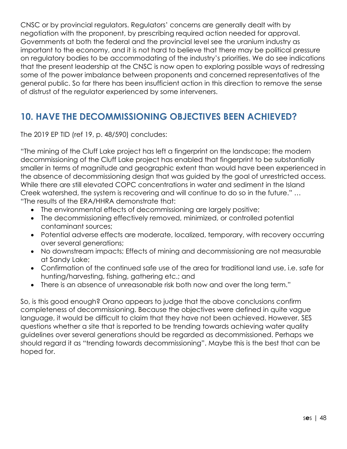CNSC or by provincial regulators. Regulators' concerns are generally dealt with by negotiation with the proponent, by prescribing required action needed for approval. Governments at both the federal and the provincial level see the uranium industry as important to the economy, and it is not hard to believe that there may be political pressure on regulatory bodies to be accommodating of the industry's priorities. We do see indications that the present leadership at the CNSC is now open to exploring possible ways of redressing some of the power imbalance between proponents and concerned representatives of the general public. So far there has been insufficient action in this direction to remove the sense of distrust of the regulator experienced by some interveners.

## **10. HAVE THE DECOMMISSIONING OBJECTIVES BEEN ACHIEVED?**

The 2019 EP TID (ref 19, p. 48/590) concludes:

"The mining of the Cluff Lake project has left a fingerprint on the landscape; the modern decommissioning of the Cluff Lake project has enabled that fingerprint to be substantially smaller in terms of magnitude and geographic extent than would have been experienced in the absence of decommissioning design that was guided by the goal of unrestricted access. While there are still elevated COPC concentrations in water and sediment in the Island Creek watershed, the system is recovering and will continue to do so in the future." … "The results of the ERA/HHRA demonstrate that:

- The environmental effects of decommissioning are largely positive;
- The decommissioning effectively removed, minimized, or controlled potential contaminant sources;
- Potential adverse effects are moderate, localized, temporary, with recovery occurring over several generations;
- No downstream impacts; Effects of mining and decommissioning are not measurable at Sandy Lake;
- Confirmation of the continued safe use of the area for traditional land use, i.e. safe for hunting/harvesting, fishing, gathering etc.; and
- There is an absence of unreasonable risk both now and over the long term."

So, is this good enough? Orano appears to judge that the above conclusions confirm completeness of decommissioning. Because the objectives were defined in quite vague language, it would be difficult to claim that they have not been achieved. However, SES questions whether a site that is reported to be trending towards achieving water quality guidelines over several generations should be regarded as decommissioned. Perhaps we should regard it as "trending towards decommissioning". Maybe this is the best that can be hoped for.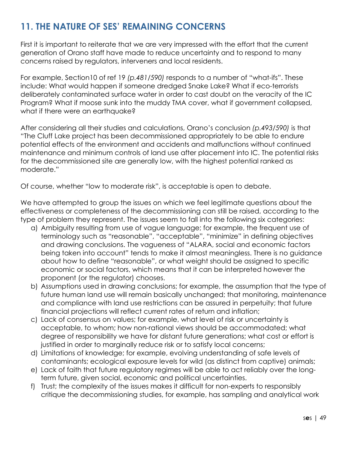# **11. THE NATURE OF SES' REMAINING CONCERNS**

First it is important to reiterate that we are very impressed with the effort that the current generation of Orano staff have made to reduce uncertainty and to respond to many concerns raised by regulators, interveners and local residents.

For example, Section10 of ref 19 *(p.481/590)* responds to a number of "what-ifs". These include: What would happen if someone dredged Snake Lake? What if eco-terrorists deliberately contaminated surface water in order to cast doubt on the veracity of the IC Program? What if moose sunk into the muddy TMA cover, what if government collapsed, what if there were an earthquake?

After considering all their studies and calculations, Orano's conclusion *(p.493/590)* is that "The Cluff Lake project has been decommissioned appropriately to be able to endure potential effects of the environment and accidents and malfunctions without continued maintenance and minimum controls of land use after placement into IC. The potential risks for the decommissioned site are generally low, with the highest potential ranked as moderate."

Of course, whether "low to moderate risk", is acceptable is open to debate.

We have attempted to group the issues on which we feel legitimate questions about the effectiveness or completeness of the decommissioning can still be raised, according to the type of problem they represent. The issues seem to fall into the following six categories:

- a) Ambiguity resulting from use of vague language; for example, the frequent use of terminology such as "reasonable", "acceptable", "minimize" in defining objectives and drawing conclusions. The vagueness of "ALARA, social and economic factors being taken into account" tends to make it almost meaningless. There is no guidance about how to define "reasonable", or what weight should be assigned to specific economic or social factors, which means that it can be interpreted however the proponent (or the regulator) chooses.
- b) Assumptions used in drawing conclusions; for example, the assumption that the type of future human land use will remain basically unchanged; that monitoring, maintenance and compliance with land use restrictions can be assured in perpetuity; that future financial projections will reflect current rates of return and inflation;
- c) Lack of consensus on values; for example, what level of risk or uncertainty is acceptable, to whom; how non-rational views should be accommodated; what degree of responsibility we have for distant future generations; what cost or effort is justified in order to marginally reduce risk or to satisfy local concerns;
- d) Limitations of knowledge; for example, evolving understanding of safe levels of contaminants; ecological exposure levels for wild (as distinct from captive) animals;
- e) Lack of faith that future regulatory regimes will be able to act reliably over the longterm future, given social, economic and political uncertainties.
- f) Trust; the complexity of the issues makes it difficult for non-experts to responsibly critique the decommissioning studies, for example, has sampling and analytical work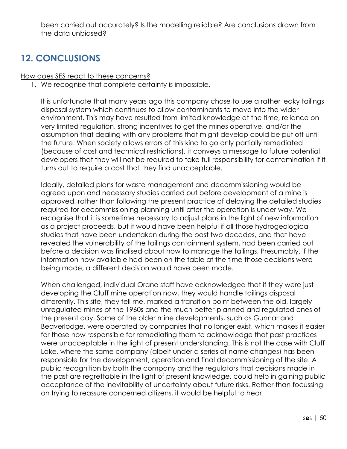been carried out accurately? Is the modelling reliable? Are conclusions drawn from the data unbiased?

# **12. CONCLUSIONS**

How does SES react to these concerns?

1. We recognise that complete certainty is impossible.

It is unfortunate that many years ago this company chose to use a rather leaky tailings disposal system which continues to allow contaminants to move into the wider environment. This may have resulted from limited knowledge at the time, reliance on very limited regulation, strong incentives to get the mines operative, and/or the assumption that dealing with any problems that might develop could be put off until the future. When society allows errors of this kind to go only partially remediated (because of cost and technical restrictions), it conveys a message to future potential developers that they will not be required to take full responsibility for contamination if it turns out to require a cost that they find unacceptable.

Ideally, detailed plans for waste management and decommissioning would be agreed upon and necessary studies carried out before development of a mine is approved, rather than following the present practice of delaying the detailed studies required for decommissioning planning until after the operation is under way. We recognise that it is sometime necessary to adjust plans in the light of new information as a project proceeds, but it would have been helpful if all those hydrogeological studies that have been undertaken during the past two decades, and that have revealed the vulnerability of the tailings containment system, had been carried out before a decision was finalised about how to manage the tailings. Presumably, if the information now available had been on the table at the time those decisions were being made, a different decision would have been made.

When challenged, individual Orano staff have acknowledged that if they were just developing the Cluff mine operation now, they would handle tailings disposal differently. This site, they tell me, marked a transition point between the old, largely unregulated mines of the 1960s and the much better-planned and regulated ones of the present day. Some of the older mine developments, such as Gunnar and Beaverlodge, were operated by companies that no longer exist, which makes it easier for those now responsible for remediating them to acknowledge that past practices were unacceptable in the light of present understanding. This is not the case with Cluff Lake, where the same company (albeit under a series of name changes) has been responsible for the development, operation and final decommissioning of the site. A public recognition by both the company and the regulators that decisions made in the past are regrettable in the light of present knowledge, could help in gaining public acceptance of the inevitability of uncertainty about future risks. Rather than focussing on trying to reassure concerned citizens, it would be helpful to hear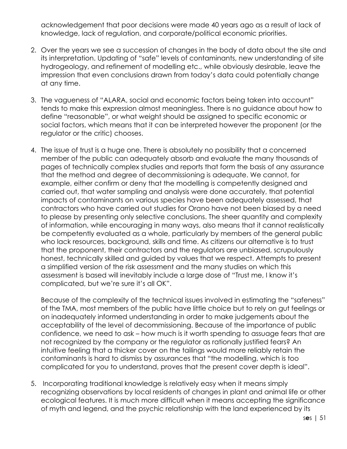acknowledgement that poor decisions were made 40 years ago as a result of lack of knowledge, lack of regulation, and corporate/political economic priorities.

- 2. Over the years we see a succession of changes in the body of data about the site and its interpretation. Updating of "safe" levels of contaminants, new understanding of site hydrogeology, and refinement of modelling etc., while obviously desirable, leave the impression that even conclusions drawn from today's data could potentially change at any time.
- 3. The vagueness of "ALARA, social and economic factors being taken into account" tends to make this expression almost meaningless. There is no guidance about how to define "reasonable", or what weight should be assigned to specific economic or social factors, which means that it can be interpreted however the proponent (or the regulator or the critic) chooses.
- 4. The issue of trust is a huge one. There is absolutely no possibility that a concerned member of the public can adequately absorb and evaluate the many thousands of pages of technically complex studies and reports that form the basis of any assurance that the method and degree of decommissioning is adequate. We cannot, for example, either confirm or deny that the modelling is competently designed and carried out, that water sampling and analysis were done accurately, that potential impacts of contaminants on various species have been adequately assessed, that contractors who have carried out studies for Orano have not been biased by a need to please by presenting only selective conclusions. The sheer quantity and complexity of information, while encouraging in many ways, also means that it cannot realistically be competently evaluated as a whole, particularly by members of the general public who lack resources, background, skills and time. As citizens our alternative is to trust that the proponent, their contractors and the regulators are unbiased, scrupulously honest, technically skilled and guided by values that we respect. Attempts to present a simplified version of the risk assessment and the many studies on which this assessment is based will inevitably include a large dose of "Trust me, I know it's complicated, but we're sure it's all OK".

Because of the complexity of the technical issues involved in estimating the "safeness" of the TMA, most members of the public have little choice but to rely on gut feelings or on inadequately informed understanding in order to make judgements about the acceptability of the level of decommissioning. Because of the importance of public confidence, we need to ask – how much is it worth spending to assuage fears that are not recognized by the company or the regulator as rationally justified fears? An intuitive feeling that a thicker cover on the tailings would more reliably retain the contaminants is hard to dismiss by assurances that "the modelling, which is too complicated for you to understand, proves that the present cover depth is ideal".

5. Incorporating traditional knowledge is relatively easy when it means simply recognizing observations by local residents of changes in plant and animal life or other ecological features. It is much more difficult when it means accepting the significance of myth and legend, and the psychic relationship with the land experienced by its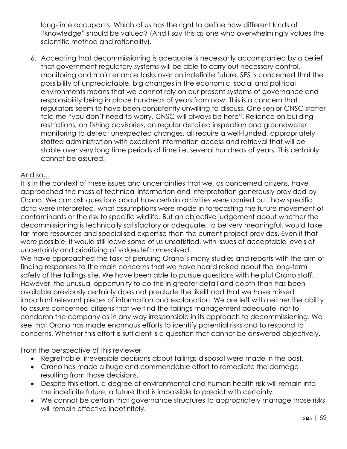long-time occupants. Which of us has the right to define how different kinds of "knowledge" should be valued? (And I say this as one who overwhelmingly values the scientific method and rationality).

6. Accepting that decommissioning is adequate is necessarily accompanied by a belief that government regulatory systems will be able to carry out necessary control, monitoring and maintenance tasks over an indefinite future. SES is concerned that the possibility of unpredictable, big changes in the economic, social and political environments means that we cannot rely on our present systems of governance and responsibility being in place hundreds of years from now. This is a concern that regulators seem to have been consistently unwilling to discuss. One senior CNSC staffer told me "you don't need to worry, CNSC will always be here". Reliance on building restrictions, on fishing advisories, on regular detailed inspection and groundwater monitoring to detect unexpected changes, all require a well-funded, appropriately staffed administration with excellent information access and retrieval that will be stable over very long time periods of time i.e. several hundreds of years. This certainly cannot be assured.

#### And so…

It is in the context of these issues and uncertainties that we, as concerned citizens, have approached the mass of technical information and interpretation generously provided by Orano. We can ask questions about how certain activities were carried out, how specific data were interpreted, what assumptions were made in forecasting the future movement of contaminants or the risk to specific wildlife. But an objective judgement about whether the decommissioning is technically satisfactory or adequate, to be very meaningful, would take far more resources and specialised expertise than the current project provides. Even if that were possible, it would still leave some of us unsatisfied, with issues of acceptable levels of uncertainty and prioritizing of values left unresolved.

We have approached the task of perusing Orano's many studies and reports with the aim of finding responses to the main concerns that we have heard raised about the long-term safety of the tailings site. We have been able to pursue questions with helpful Orano staff. However, the unusual opportunity to do this in greater detail and depth than has been available previously certainly does not preclude the likelihood that we have missed important relevant pieces of information and explanation. We are left with neither the ability to assure concerned citizens that we find the tailings management adequate, nor to condemn the company as in any way irresponsible in its approach to decommissioning. We see that Orano has made enormous efforts to identify potential risks and to respond to concerns. Whether this effort is sufficient is a question that cannot be answered objectively.

From the perspective of this reviewer,

- Regrettable, irreversible decisions about tailings disposal were made in the past.
- Orano has made a huge and commendable effort to remediate the damage resulting from those decisions.
- Despite this effort, a degree of environmental and human health risk will remain into the indefinite future, a future that is impossible to predict with certainty.
- We cannot be certain that governance structures to appropriately manage those risks will remain effective indefinitely.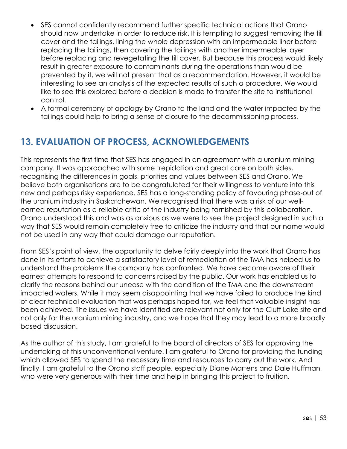- SES cannot confidently recommend further specific technical actions that Orano should now undertake in order to reduce risk. It is tempting to suggest removing the till cover and the tailings, lining the whole depression with an impermeable liner before replacing the tailings, then covering the tailings with another impermeable layer before replacing and revegetating the till cover. But because this process would likely result in greater exposure to contaminants during the operations than would be prevented by it, we will not present that as a recommendation. However, it would be interesting to see an analysis of the expected results of such a procedure. We would like to see this explored before a decision is made to transfer the site to institutional control.
- A formal ceremony of apology by Orano to the land and the water impacted by the tailings could help to bring a sense of closure to the decommissioning process.

# **13. EVALUATION OF PROCESS, ACKNOWLEDGEMENTS**

This represents the first time that SES has engaged in an agreement with a uranium mining company. It was approached with some trepidation and great care on both sides, recognising the differences in goals, priorities and values between SES and Orano. We believe both organisations are to be congratulated for their willingness to venture into this new and perhaps risky experience. SES has a long-standing policy of favouring phase-out of the uranium industry in Saskatchewan. We recognised that there was a risk of our wellearned reputation as a reliable critic of the industry being tarnished by this collaboration. Orano understood this and was as anxious as we were to see the project designed in such a way that SES would remain completely free to criticize the industry and that our name would not be used in any way that could damage our reputation.

From SES's point of view, the opportunity to delve fairly deeply into the work that Orano has done in its efforts to achieve a satisfactory level of remediation of the TMA has helped us to understand the problems the company has confronted. We have become aware of their earnest attempts to respond to concerns raised by the public. Our work has enabled us to clarify the reasons behind our unease with the condition of the TMA and the downstream impacted waters. While it may seem disappointing that we have failed to produce the kind of clear technical evaluation that was perhaps hoped for, we feel that valuable insight has been achieved. The issues we have identified are relevant not only for the Cluff Lake site and not only for the uranium mining industry, and we hope that they may lead to a more broadly based discussion.

As the author of this study, I am grateful to the board of directors of SES for approving the undertaking of this unconventional venture. I am grateful to Orano for providing the funding which allowed SES to spend the necessary time and resources to carry out the work. And finally, I am grateful to the Orano staff people, especially Diane Martens and Dale Huffman, who were very generous with their time and help in bringing this project to fruition.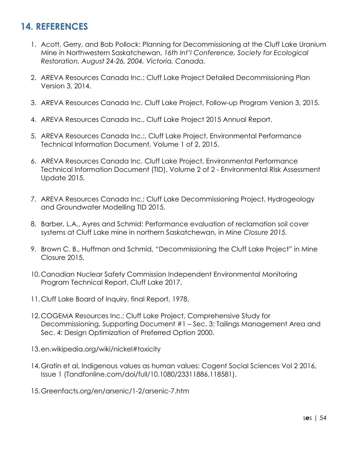# **14. REFERENCES**

- 1. Acott, Gerry, and Bob Pollock: Planning for Decommissioning at the Cluff Lake Uranium Mine in Northwestern Saskatchewan, *16th Int'l Conference, Society for Ecological Restoration, August 24-26, 2004, Victoria, Canada.*
- 2. AREVA Resources Canada Inc.: Cluff Lake Project Detailed Decommissioning Plan Version 3, 2014.
- 3. AREVA Resources Canada Inc. Cluff Lake Project, Follow-up Program Version 3, 2015.
- 4. AREVA Resources Canada Inc., Cluff Lake Project 2015 Annual Report.
- 5. AREVA Resources Canada Inc.:, Cluff Lake Project, Environmental Performance Technical Information Document, Volume 1 of 2, 2015.
- 6. AREVA Resources Canada Inc. Cluff Lake Project, Environmental Performance Technical Information Document (TID), Volume 2 of 2 - Environmental Risk Assessment Update 2015.
- 7. AREVA Resources Canada Inc.; Cluff Lake Decommissioning Project, Hydrogeology and Groundwater Modelling TID 2015.
- 8. Barber, L.A., Ayres and Schmid: Performance evaluation of reclamation soil cover systems at Cluff Lake mine in northern Saskatchewan, in *Mine Closure 2015.*
- 9. Brown C. B., Huffman and Schmid, "Decommissioning the Cluff Lake Project" in Mine Closure 2015.
- 10.Canadian Nuclear Safety Commission Independent Environmental Monitoring Program Technical Report, Cluff Lake 2017.
- 11.Cluff Lake Board of Inquiry, final Report, 1978.
- 12.COGEMA Resources Inc.: Cluff Lake Project, Comprehensive Study for Decommissioning, Supporting Document #1 – Sec. 3: Tailings Management Area and Sec. 4: Design Optimization of Preferred Option 2000.
- 13.en.wikipedia.org/wiki/nickel#toxicity
- 14.Gratin et al, Indigenous values as human values: Cogent Social Sciences Vol 2 2016, Issue 1 (Tandfonline.com/doi/full/10.1080/23311886.118581).
- 15.Greenfacts.org/en/arsenic/1-2/arsenic-7.htm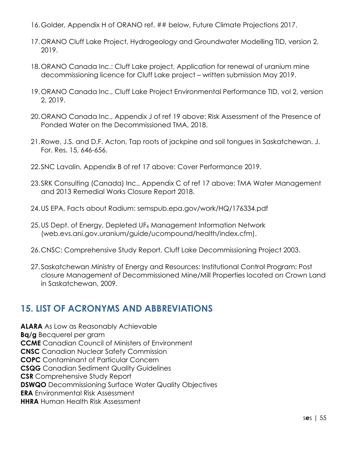- 16.Golder, Appendix H of ORANO ref. ## below, Future Climate Projections 2017.
- 17.ORANO Cluff Lake Project, Hydrogeology and Groundwater Modelling TID, version 2, 2019.
- 18.ORANO Canada Inc.: Cluff Lake project, Application for renewal of uranium mine decommissioning licence for Cluff Lake project – written submission May 2019.
- 19.ORANO Canada Inc., Cluff Lake Project Environmental Performance TID, vol 2, version 2, 2019.
- 20.ORANO Canada Inc., Appendix J of ref 19 above: Risk Assessment of the Presence of Ponded Water on the Decommissioned TMA, 2018.
- 21.Rowe, J.S. and D.F. Acton, Tap roots of jackpine and soil tongues in Saskatchewan. J. For. Res. 15, 646-656.
- 22.SNC Lavalin, Appendix B of ref 17 above: Cover Performance 2019.
- 23.SRK Consulting (Canada) Inc., Appendix C of ref 17 above: TMA Water Management and 2013 Remedial Works Closure Report 2018.
- 24.US EPA, Facts about Radium: semspub.epa.gov/work/HQ/176334.pdf
- 25.US Dept. of Energy, Depleted UF<sub>6</sub> Management Information Network (web.evs.ani.gov.uranium/guide/ucompound/health/index.cfm).
- 26.CNSC: Comprehensive Study Report, Cluff Lake Decommissioning Project 2003.
- 27.Saskatchewan Ministry of Energy and Resources: Institutional Control Program: Post closure Management of Decommissioned Mine/Mill Properties located on Crown Land in Saskatchewan, 2009.

### **15. LIST OF ACRONYMS AND ABBREVIATIONS**

**ALARA** As Low as Reasonably Achievable **Bq/g** Becquerel per gram **CCME** Canadian Council of Ministers of Environment **CNSC** Canadian Nuclear Safety Commission **COPC** Contaminant of Particular Concern **CSQG** Canadian Sediment Quality Guidelines **CSR** Comprehensive Study Report **DSWQO** Decommissioning Surface Water Quality Objectives **ERA** Environmental Risk Assessment **HHRA** Human Health Risk Assessment